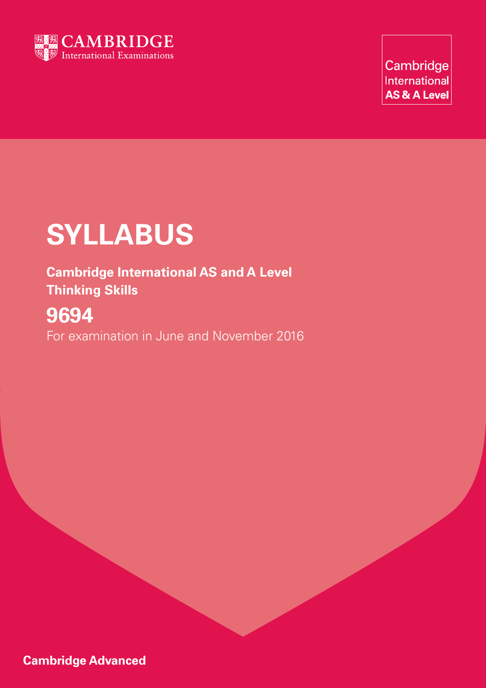

Cambridge International **AS & A Level** 

# **SYLLABUS**

**Cambridge International AS and A Level Thinking Skills** 

# **9694**

For examination in June and November 2016

**Cambridge Advanced**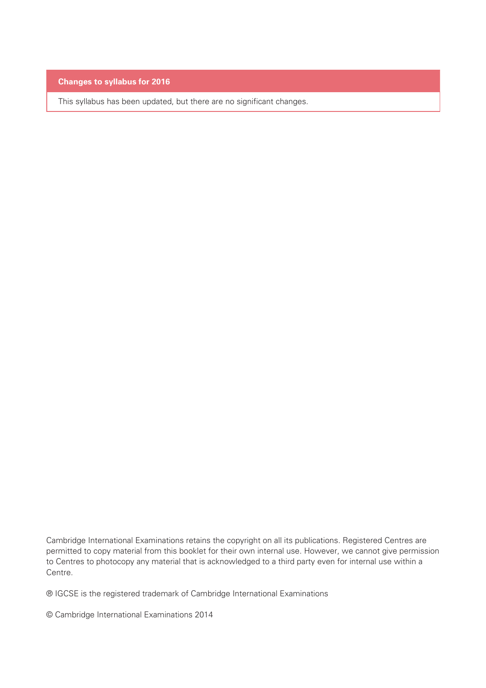#### **Changes to syllabus for 2016**

This syllabus has been updated, but there are no significant changes.

Cambridge International Examinations retains the copyright on all its publications. Registered Centres are permitted to copy material from this booklet for their own internal use. However, we cannot give permission to Centres to photocopy any material that is acknowledged to a third party even for internal use within a Centre.

® IGCSE is the registered trademark of Cambridge International Examinations

© Cambridge International Examinations 2014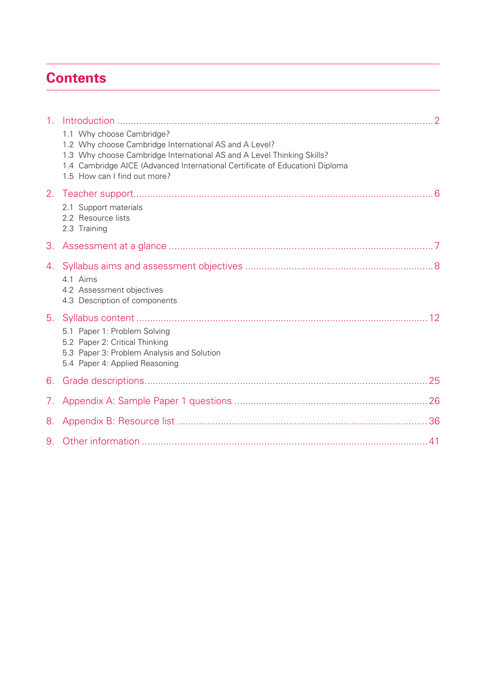# **Contents**

| $1_{1}$    | 1.1 Why choose Cambridge?<br>1.2 Why choose Cambridge International AS and A Level?<br>1.3 Why choose Cambridge International AS and A Level Thinking Skills?<br>1.4 Cambridge AICE (Advanced International Certificate of Education) Diploma<br>1.5 How can I find out more? |
|------------|-------------------------------------------------------------------------------------------------------------------------------------------------------------------------------------------------------------------------------------------------------------------------------|
|            | 2.1 Support materials<br>2.2 Resource lists<br>2.3 Training                                                                                                                                                                                                                   |
| 3.         |                                                                                                                                                                                                                                                                               |
|            | 4.1 Aims<br>4.2 Assessment objectives<br>4.3 Description of components                                                                                                                                                                                                        |
|            | 5.1 Paper 1: Problem Solving<br>5.2 Paper 2: Critical Thinking<br>5.3 Paper 3: Problem Analysis and Solution<br>5.4 Paper 4: Applied Reasoning                                                                                                                                |
|            |                                                                                                                                                                                                                                                                               |
| $\sqrt{2}$ |                                                                                                                                                                                                                                                                               |
| 8.         |                                                                                                                                                                                                                                                                               |
|            |                                                                                                                                                                                                                                                                               |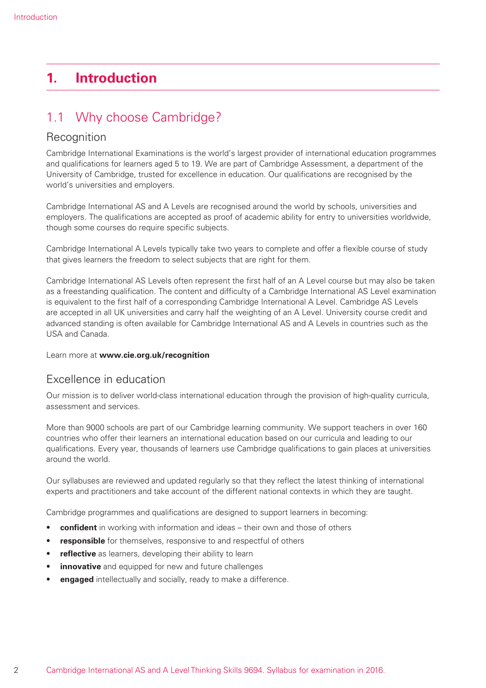# **1. Introduction**

# 1.1 Why choose Cambridge?

### Recognition

Cambridge International Examinations is the world's largest provider of international education programmes and qualifications for learners aged 5 to 19. We are part of Cambridge Assessment, a department of the University of Cambridge, trusted for excellence in education. Our qualifications are recognised by the world's universities and employers.

Cambridge International AS and A Levels are recognised around the world by schools, universities and employers. The qualifications are accepted as proof of academic ability for entry to universities worldwide, though some courses do require specific subjects.

Cambridge International A Levels typically take two years to complete and offer a flexible course of study that gives learners the freedom to select subjects that are right for them.

Cambridge International AS Levels often represent the first half of an A Level course but may also be taken as a freestanding qualification. The content and difficulty of a Cambridge International AS Level examination is equivalent to the first half of a corresponding Cambridge International A Level. Cambridge AS Levels are accepted in all UK universities and carry half the weighting of an A Level. University course credit and advanced standing is often available for Cambridge International AS and A Levels in countries such as the USA and Canada.

#### Learn more at **www.cie.org.uk/recognition**

### Excellence in education

Our mission is to deliver world-class international education through the provision of high-quality curricula, assessment and services.

More than 9000 schools are part of our Cambridge learning community. We support teachers in over 160 countries who offer their learners an international education based on our curricula and leading to our qualifications. Every year, thousands of learners use Cambridge qualifications to gain places at universities around the world.

Our syllabuses are reviewed and updated regularly so that they reflect the latest thinking of international experts and practitioners and take account of the different national contexts in which they are taught.

Cambridge programmes and qualifications are designed to support learners in becoming:

- **confident** in working with information and ideas their own and those of others
- **responsible** for themselves, responsive to and respectful of others
- **reflective** as learners, developing their ability to learn
- **innovative** and equipped for new and future challenges
- **engaged** intellectually and socially, ready to make a difference.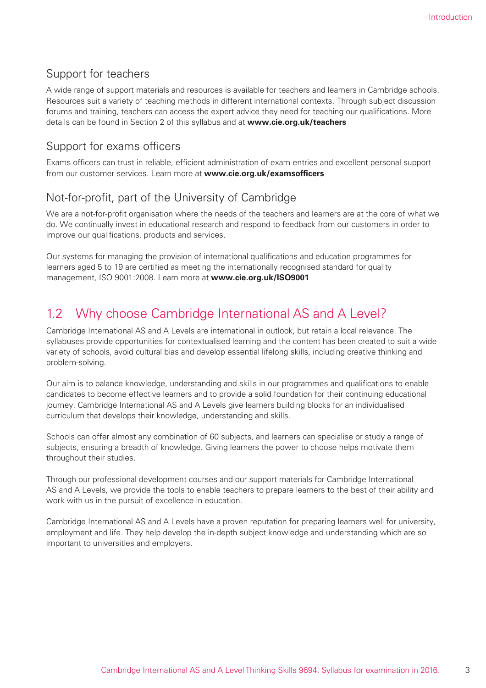### Support for teachers

A wide range of support materials and resources is available for teachers and learners in Cambridge schools. Resources suit a variety of teaching methods in different international contexts. Through subject discussion forums and training, teachers can access the expert advice they need for teaching our qualifications. More details can be found in Section 2 of this syllabus and at **www.cie.org.uk/teachers**

### Support for exams officers

Exams officers can trust in reliable, efficient administration of exam entries and excellent personal support from our customer services. Learn more at **www.cie.org.uk/examsofficers**

### Not-for-profit, part of the University of Cambridge

We are a not-for-profit organisation where the needs of the teachers and learners are at the core of what we do. We continually invest in educational research and respond to feedback from our customers in order to improve our qualifications, products and services.

Our systems for managing the provision of international qualifications and education programmes for learners aged 5 to 19 are certified as meeting the internationally recognised standard for quality management, ISO 9001:2008. Learn more at **www.cie.org.uk/ISO9001**

# 1.2 Why choose Cambridge International AS and A Level?

Cambridge International AS and A Levels are international in outlook, but retain a local relevance. The syllabuses provide opportunities for contextualised learning and the content has been created to suit a wide variety of schools, avoid cultural bias and develop essential lifelong skills, including creative thinking and problem-solving.

Our aim is to balance knowledge, understanding and skills in our programmes and qualifications to enable candidates to become effective learners and to provide a solid foundation for their continuing educational journey. Cambridge International AS and A Levels give learners building blocks for an individualised curriculum that develops their knowledge, understanding and skills.

Schools can offer almost any combination of 60 subjects, and learners can specialise or study a range of subjects, ensuring a breadth of knowledge. Giving learners the power to choose helps motivate them throughout their studies.

Through our professional development courses and our support materials for Cambridge International AS and A Levels, we provide the tools to enable teachers to prepare learners to the best of their ability and work with us in the pursuit of excellence in education.

Cambridge International AS and A Levels have a proven reputation for preparing learners well for university, employment and life. They help develop the in-depth subject knowledge and understanding which are so important to universities and employers.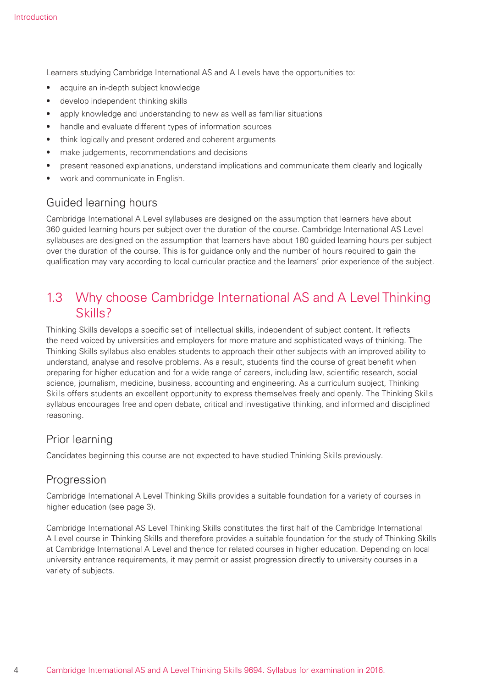Learners studying Cambridge International AS and A Levels have the opportunities to:

- acquire an in-depth subject knowledge
- develop independent thinking skills
- apply knowledge and understanding to new as well as familiar situations
- handle and evaluate different types of information sources
- think logically and present ordered and coherent arguments
- make judgements, recommendations and decisions
- present reasoned explanations, understand implications and communicate them clearly and logically
- work and communicate in English.

### Guided learning hours

Cambridge International A Level syllabuses are designed on the assumption that learners have about 360 guided learning hours per subject over the duration of the course. Cambridge International AS Level syllabuses are designed on the assumption that learners have about 180 guided learning hours per subject over the duration of the course. This is for guidance only and the number of hours required to gain the qualification may vary according to local curricular practice and the learners' prior experience of the subject.

### 1.3 Why choose Cambridge International AS and A Level Thinking Skills?

Thinking Skills develops a specific set of intellectual skills, independent of subject content. It reflects the need voiced by universities and employers for more mature and sophisticated ways of thinking. The Thinking Skills syllabus also enables students to approach their other subjects with an improved ability to understand, analyse and resolve problems. As a result, students find the course of great benefit when preparing for higher education and for a wide range of careers, including law, scientific research, social science, journalism, medicine, business, accounting and engineering. As a curriculum subject, Thinking Skills offers students an excellent opportunity to express themselves freely and openly. The Thinking Skills syllabus encourages free and open debate, critical and investigative thinking, and informed and disciplined reasoning.

### Prior learning

Candidates beginning this course are not expected to have studied Thinking Skills previously.

### Progression

Cambridge International A Level Thinking Skills provides a suitable foundation for a variety of courses in higher education (see page 3).

Cambridge International AS Level Thinking Skills constitutes the first half of the Cambridge International A Level course in Thinking Skills and therefore provides a suitable foundation for the study of Thinking Skills at Cambridge International A Level and thence for related courses in higher education. Depending on local university entrance requirements, it may permit or assist progression directly to university courses in a variety of subjects.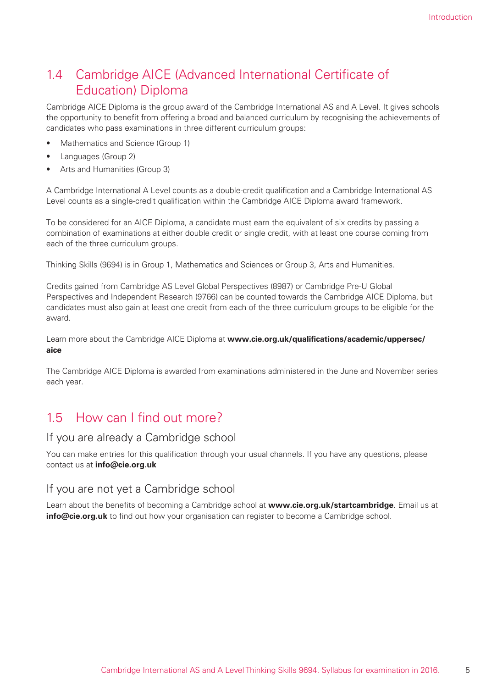# 1.4 Cambridge AICE (Advanced International Certificate of Education) Diploma

Cambridge AICE Diploma is the group award of the Cambridge International AS and A Level. It gives schools the opportunity to benefit from offering a broad and balanced curriculum by recognising the achievements of candidates who pass examinations in three different curriculum groups:

- Mathematics and Science (Group 1)
- Languages (Group 2)
- Arts and Humanities (Group 3)

A Cambridge International A Level counts as a double-credit qualification and a Cambridge International AS Level counts as a single-credit qualification within the Cambridge AICE Diploma award framework.

To be considered for an AICE Diploma, a candidate must earn the equivalent of six credits by passing a combination of examinations at either double credit or single credit, with at least one course coming from each of the three curriculum groups.

Thinking Skills (9694) is in Group 1, Mathematics and Sciences or Group 3, Arts and Humanities.

Credits gained from Cambridge AS Level Global Perspectives (8987) or Cambridge Pre-U Global Perspectives and Independent Research (9766) can be counted towards the Cambridge AICE Diploma, but candidates must also gain at least one credit from each of the three curriculum groups to be eligible for the award.

Learn more about the Cambridge AICE Diploma at **www.cie.org.uk/qualifications/academic/uppersec/ aice**

The Cambridge AICE Diploma is awarded from examinations administered in the June and November series each year.

### 1.5 How can I find out more?

### If you are already a Cambridge school

You can make entries for this qualification through your usual channels. If you have any questions, please contact us at **info@cie.org.uk**

### If you are not yet a Cambridge school

Learn about the benefits of becoming a Cambridge school at **www.cie.org.uk/startcambridge**. Email us at **info@cie.org.uk** to find out how your organisation can register to become a Cambridge school.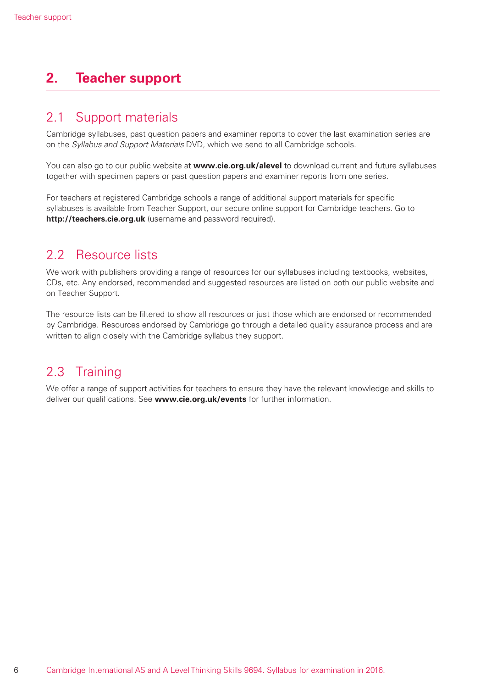# **2. Teacher support**

# 2.1 Support materials

Cambridge syllabuses, past question papers and examiner reports to cover the last examination series are on the *Syllabus and Support Materials* DVD, which we send to all Cambridge schools.

You can also go to our public website at **www.cie.org.uk/alevel** to download current and future syllabuses together with specimen papers or past question papers and examiner reports from one series.

For teachers at registered Cambridge schools a range of additional support materials for specific syllabuses is available from Teacher Support, our secure online support for Cambridge teachers. Go to **http://teachers.cie.org.uk** (username and password required).

# 2.2 Resource lists

We work with publishers providing a range of resources for our syllabuses including textbooks, websites, CDs, etc. Any endorsed, recommended and suggested resources are listed on both our public website and on Teacher Support.

The resource lists can be filtered to show all resources or just those which are endorsed or recommended by Cambridge. Resources endorsed by Cambridge go through a detailed quality assurance process and are written to align closely with the Cambridge syllabus they support.

# 2.3 Training

We offer a range of support activities for teachers to ensure they have the relevant knowledge and skills to deliver our qualifications. See **www.cie.org.uk/events** for further information.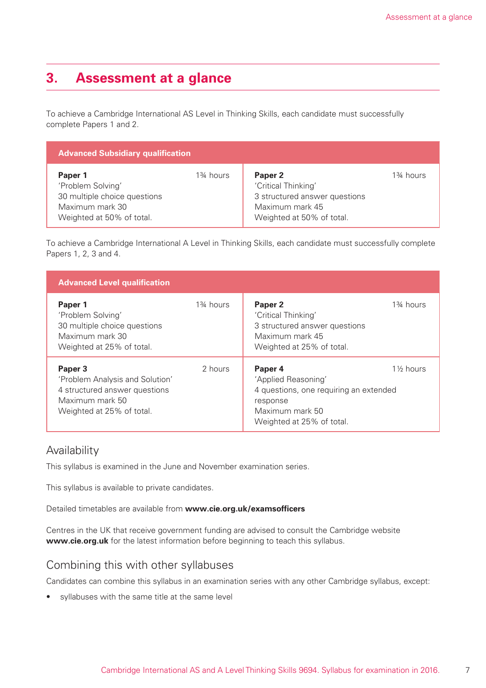# **3. Assessment at a glance**

To achieve a Cambridge International AS Level in Thinking Skills, each candidate must successfully complete Papers 1 and 2.

| <b>Advanced Subsidiary qualification</b>                                                                     |                                     |                                                                                                                 |                         |  |
|--------------------------------------------------------------------------------------------------------------|-------------------------------------|-----------------------------------------------------------------------------------------------------------------|-------------------------|--|
| Paper 1<br>'Problem Solving'<br>30 multiple choice questions<br>Maximum mark 30<br>Weighted at 50% of total. | 1 <sup>3</sup> / <sub>4</sub> hours | Paper 2<br>'Critical Thinking'<br>3 structured answer questions<br>Maximum mark 45<br>Weighted at 50% of total. | 1 <sup>3</sup> ⁄4 hours |  |

To achieve a Cambridge International A Level in Thinking Skills, each candidate must successfully complete Papers 1, 2, 3 and 4.

| <b>Advanced Level qualification</b>                                                                                         |             |                                                                                                                                      |                                     |
|-----------------------------------------------------------------------------------------------------------------------------|-------------|--------------------------------------------------------------------------------------------------------------------------------------|-------------------------------------|
| Paper 1<br>'Problem Solving'<br>30 multiple choice questions<br>Maximum mark 30<br>Weighted at 25% of total.                | $1\%$ hours | Paper <sub>2</sub><br>'Critical Thinking'<br>3 structured answer questions<br>Maximum mark 45<br>Weighted at 25% of total.           | $1\%$ hours                         |
| Paper 3<br>'Problem Analysis and Solution'<br>4 structured answer questions<br>Maximum mark 50<br>Weighted at 25% of total. | 2 hours     | Paper 4<br>'Applied Reasoning'<br>4 questions, one requiring an extended<br>response<br>Maximum mark 50<br>Weighted at 25% of total. | 1 <sup>1</sup> / <sub>2</sub> hours |

### Availability

This syllabus is examined in the June and November examination series.

This syllabus is available to private candidates.

Detailed timetables are available from **www.cie.org.uk/examsofficers**

Centres in the UK that receive government funding are advised to consult the Cambridge website **www.cie.org.uk** for the latest information before beginning to teach this syllabus.

### Combining this with other syllabuses

Candidates can combine this syllabus in an examination series with any other Cambridge syllabus, except:

• syllabuses with the same title at the same level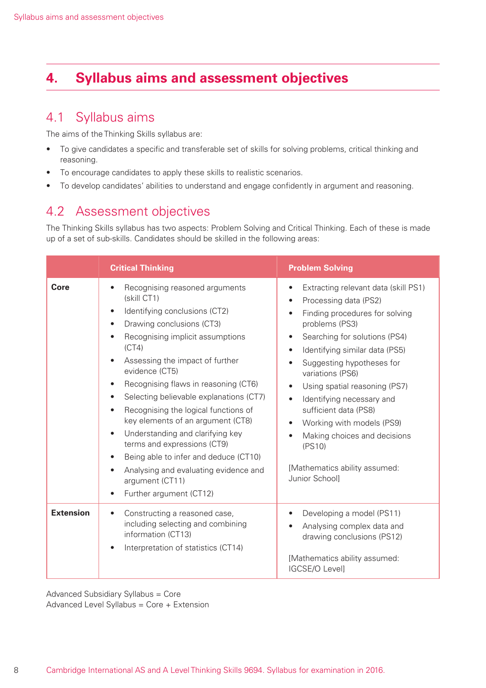# **4. Syllabus aims and assessment objectives**

# 4.1 Syllabus aims

The aims of the Thinking Skills syllabus are:

- To give candidates a specific and transferable set of skills for solving problems, critical thinking and reasoning.
- To encourage candidates to apply these skills to realistic scenarios.
- To develop candidates' abilities to understand and engage confidently in argument and reasoning.

### 4.2 Assessment objectives

The Thinking Skills syllabus has two aspects: Problem Solving and Critical Thinking. Each of these is made up of a set of sub-skills. Candidates should be skilled in the following areas:

|                  | <b>Critical Thinking</b>                                                                                                                                                                                                                                                                                                                                                                                                                                                                                                                                                                                                                                                                                                                     | <b>Problem Solving</b>                                                                                                                                                                                                                                                                                                                                                                                                                                                           |
|------------------|----------------------------------------------------------------------------------------------------------------------------------------------------------------------------------------------------------------------------------------------------------------------------------------------------------------------------------------------------------------------------------------------------------------------------------------------------------------------------------------------------------------------------------------------------------------------------------------------------------------------------------------------------------------------------------------------------------------------------------------------|----------------------------------------------------------------------------------------------------------------------------------------------------------------------------------------------------------------------------------------------------------------------------------------------------------------------------------------------------------------------------------------------------------------------------------------------------------------------------------|
| <b>Core</b>      | Recognising reasoned arguments<br>$\bullet$<br>(skill CT1)<br>Identifying conclusions (CT2)<br>$\bullet$<br>Drawing conclusions (CT3)<br>$\bullet$<br>Recognising implicit assumptions<br>$\bullet$<br>(CT4)<br>Assessing the impact of further<br>$\bullet$<br>evidence (CT5)<br>Recognising flaws in reasoning (CT6)<br>$\bullet$<br>Selecting believable explanations (CT7)<br>$\bullet$<br>Recognising the logical functions of<br>$\bullet$<br>key elements of an argument (CT8)<br>Understanding and clarifying key<br>$\bullet$<br>terms and expressions (CT9)<br>Being able to infer and deduce (CT10)<br>$\bullet$<br>Analysing and evaluating evidence and<br>$\bullet$<br>argument (CT11)<br>Further argument (CT12)<br>$\bullet$ | Extracting relevant data (skill PS1)<br>$\bullet$<br>Processing data (PS2)<br>Finding procedures for solving<br>problems (PS3)<br>Searching for solutions (PS4)<br>Identifying similar data (PS5)<br>$\bullet$<br>Suggesting hypotheses for<br>variations (PS6)<br>Using spatial reasoning (PS7)<br>Identifying necessary and<br>sufficient data (PS8)<br>Working with models (PS9)<br>Making choices and decisions<br>(PS10)<br>[Mathematics ability assumed:<br>Junior Schooll |
| <b>Extension</b> | Constructing a reasoned case,<br>$\bullet$<br>including selecting and combining<br>information (CT13)<br>Interpretation of statistics (CT14)<br>$\bullet$                                                                                                                                                                                                                                                                                                                                                                                                                                                                                                                                                                                    | Developing a model (PS11)<br>Analysing complex data and<br>drawing conclusions (PS12)<br>[Mathematics ability assumed:<br><b>IGCSE/O Level]</b>                                                                                                                                                                                                                                                                                                                                  |

Advanced Subsidiary Syllabus = Core Advanced Level Syllabus = Core + Extension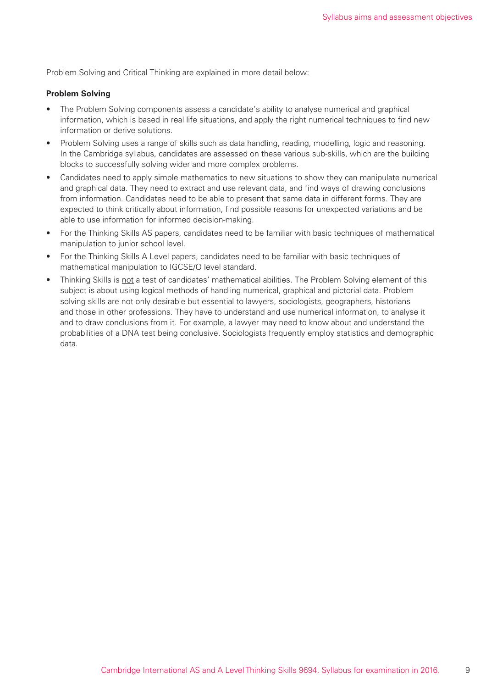Problem Solving and Critical Thinking are explained in more detail below:

#### **Problem Solving**

- The Problem Solving components assess a candidate's ability to analyse numerical and graphical information, which is based in real life situations, and apply the right numerical techniques to find new information or derive solutions.
- Problem Solving uses a range of skills such as data handling, reading, modelling, logic and reasoning. In the Cambridge syllabus, candidates are assessed on these various sub-skills, which are the building blocks to successfully solving wider and more complex problems.
- Candidates need to apply simple mathematics to new situations to show they can manipulate numerical and graphical data. They need to extract and use relevant data, and find ways of drawing conclusions from information. Candidates need to be able to present that same data in different forms. They are expected to think critically about information, find possible reasons for unexpected variations and be able to use information for informed decision-making.
- For the Thinking Skills AS papers, candidates need to be familiar with basic techniques of mathematical manipulation to junior school level.
- For the Thinking Skills A Level papers, candidates need to be familiar with basic techniques of mathematical manipulation to IGCSE/O level standard.
- Thinking Skills is not a test of candidates' mathematical abilities. The Problem Solving element of this subject is about using logical methods of handling numerical, graphical and pictorial data. Problem solving skills are not only desirable but essential to lawyers, sociologists, geographers, historians and those in other professions. They have to understand and use numerical information, to analyse it and to draw conclusions from it. For example, a lawyer may need to know about and understand the probabilities of a DNA test being conclusive. Sociologists frequently employ statistics and demographic data.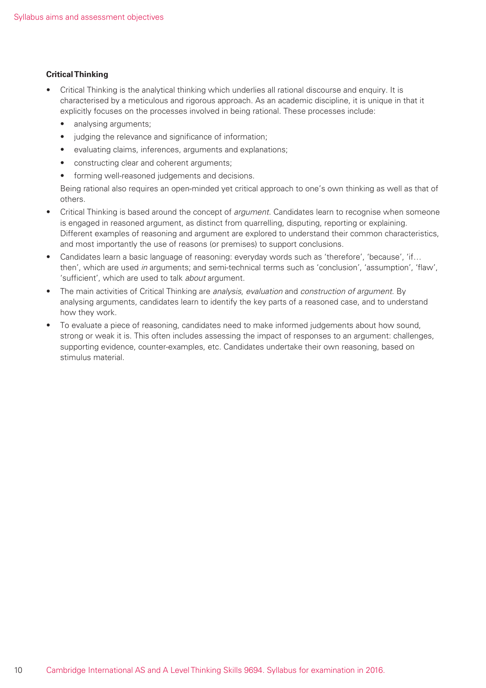#### **Critical Thinking**

- Critical Thinking is the analytical thinking which underlies all rational discourse and enquiry. It is characterised by a meticulous and rigorous approach. As an academic discipline, it is unique in that it explicitly focuses on the processes involved in being rational. These processes include:
	- analysing arguments;
	- judging the relevance and significance of information;
	- evaluating claims, inferences, arguments and explanations;
	- constructing clear and coherent arguments;
	- forming well-reasoned judgements and decisions.

 Being rational also requires an open-minded yet critical approach to one's own thinking as well as that of others.

- Critical Thinking is based around the concept of *argument*. Candidates learn to recognise when someone is engaged in reasoned argument, as distinct from quarrelling, disputing, reporting or explaining. Different examples of reasoning and argument are explored to understand their common characteristics, and most importantly the use of reasons (or premises) to support conclusions.
- Candidates learn a basic language of reasoning: everyday words such as 'therefore', 'because', 'if… then', which are used *in* arguments; and semi-technical terms such as 'conclusion', 'assumption', 'flaw', 'sufficient', which are used to talk *about* argument.
- The main activities of Critical Thinking are *analysis*, *evaluation* and *construction of argument*. By analysing arguments, candidates learn to identify the key parts of a reasoned case, and to understand how they work.
- To evaluate a piece of reasoning, candidates need to make informed judgements about how sound, strong or weak it is. This often includes assessing the impact of responses to an argument: challenges, supporting evidence, counter-examples, etc. Candidates undertake their own reasoning, based on stimulus material.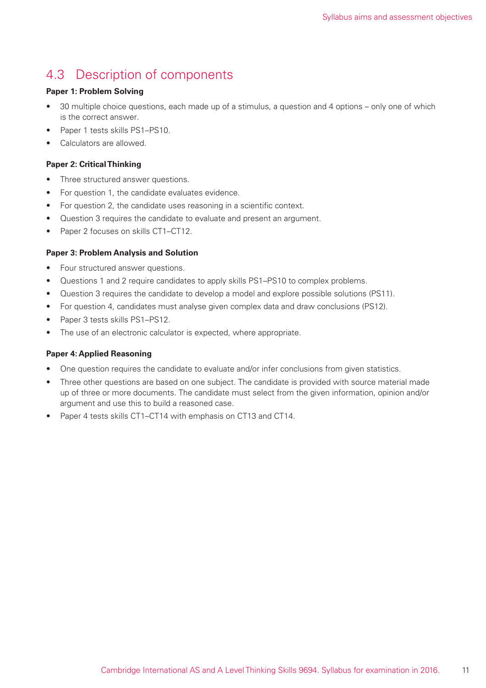# 4.3 Description of components

#### **Paper 1: Problem Solving**

- 30 multiple choice questions, each made up of a stimulus, a question and 4 options only one of which is the correct answer.
- Paper 1 tests skills PS1–PS10.
- Calculators are allowed.

#### **Paper 2: Critical Thinking**

- Three structured answer questions.
- For question 1, the candidate evaluates evidence.
- For question 2, the candidate uses reasoning in a scientific context.
- Question 3 requires the candidate to evaluate and present an argument.
- Paper 2 focuses on skills CT1–CT12.

#### **Paper 3: Problem Analysis and Solution**

- Four structured answer questions.
- Questions 1 and 2 require candidates to apply skills PS1–PS10 to complex problems.
- Question 3 requires the candidate to develop a model and explore possible solutions (PS11).
- For question 4, candidates must analyse given complex data and draw conclusions (PS12).
- Paper 3 tests skills PS1-PS12.
- The use of an electronic calculator is expected, where appropriate.

#### **Paper 4: Applied Reasoning**

- One question requires the candidate to evaluate and/or infer conclusions from given statistics.
- Three other questions are based on one subject. The candidate is provided with source material made up of three or more documents. The candidate must select from the given information, opinion and/or argument and use this to build a reasoned case.
- Paper 4 tests skills CT1–CT14 with emphasis on CT13 and CT14.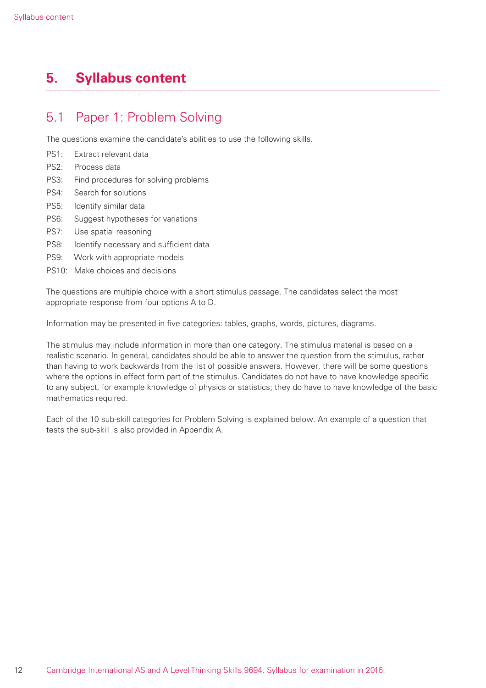# **5. Syllabus content**

# 5.1 Paper 1: Problem Solving

The questions examine the candidate's abilities to use the following skills.

- PS1: Extract relevant data
- PS2: Process data
- PS3: Find procedures for solving problems
- PS4: Search for solutions
- PS5: Identify similar data
- PS6: Suggest hypotheses for variations
- PS7: Use spatial reasoning
- PS8: Identify necessary and sufficient data
- PS9: Work with appropriate models
- PS10: Make choices and decisions

The questions are multiple choice with a short stimulus passage. The candidates select the most appropriate response from four options A to D.

Information may be presented in five categories: tables, graphs, words, pictures, diagrams.

The stimulus may include information in more than one category. The stimulus material is based on a realistic scenario. In general, candidates should be able to answer the question from the stimulus, rather than having to work backwards from the list of possible answers. However, there will be some questions where the options in effect form part of the stimulus. Candidates do not have to have knowledge specific to any subject, for example knowledge of physics or statistics; they do have to have knowledge of the basic mathematics required.

Each of the 10 sub-skill categories for Problem Solving is explained below. An example of a question that tests the sub-skill is also provided in Appendix A.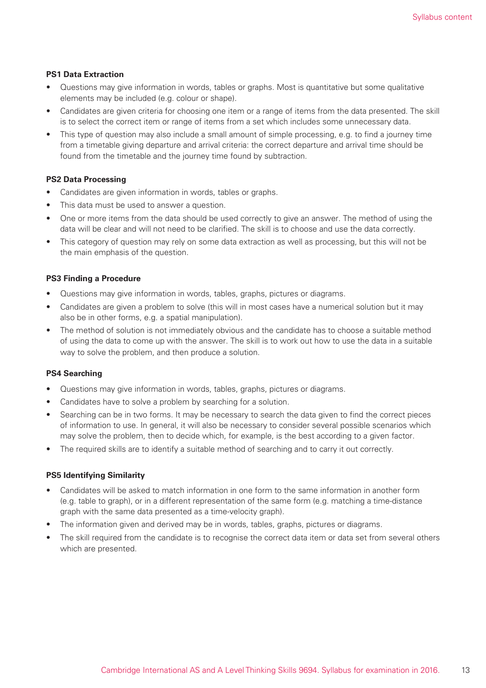#### **PS1 Data Extraction**

- Questions may give information in words, tables or graphs. Most is quantitative but some qualitative elements may be included (e.g. colour or shape).
- Candidates are given criteria for choosing one item or a range of items from the data presented. The skill is to select the correct item or range of items from a set which includes some unnecessary data.
- This type of question may also include a small amount of simple processing, e.g. to find a journey time from a timetable giving departure and arrival criteria: the correct departure and arrival time should be found from the timetable and the journey time found by subtraction.

#### **PS2 Data Processing**

- Candidates are given information in words, tables or graphs.
- This data must be used to answer a question.
- One or more items from the data should be used correctly to give an answer. The method of using the data will be clear and will not need to be clarified. The skill is to choose and use the data correctly.
- This category of question may rely on some data extraction as well as processing, but this will not be the main emphasis of the question.

#### **PS3 Finding a Procedure**

- Questions may give information in words, tables, graphs, pictures or diagrams.
- Candidates are given a problem to solve (this will in most cases have a numerical solution but it may also be in other forms, e.g. a spatial manipulation).
- The method of solution is not immediately obvious and the candidate has to choose a suitable method of using the data to come up with the answer. The skill is to work out how to use the data in a suitable way to solve the problem, and then produce a solution.

#### **PS4 Searching**

- Questions may give information in words, tables, graphs, pictures or diagrams.
- Candidates have to solve a problem by searching for a solution.
- Searching can be in two forms. It may be necessary to search the data given to find the correct pieces of information to use. In general, it will also be necessary to consider several possible scenarios which may solve the problem, then to decide which, for example, is the best according to a given factor.
- The required skills are to identify a suitable method of searching and to carry it out correctly.

#### **PS5 Identifying Similarity**

- Candidates will be asked to match information in one form to the same information in another form (e.g. table to graph), or in a different representation of the same form (e.g. matching a time-distance graph with the same data presented as a time-velocity graph).
- The information given and derived may be in words, tables, graphs, pictures or diagrams.
- The skill required from the candidate is to recognise the correct data item or data set from several others which are presented.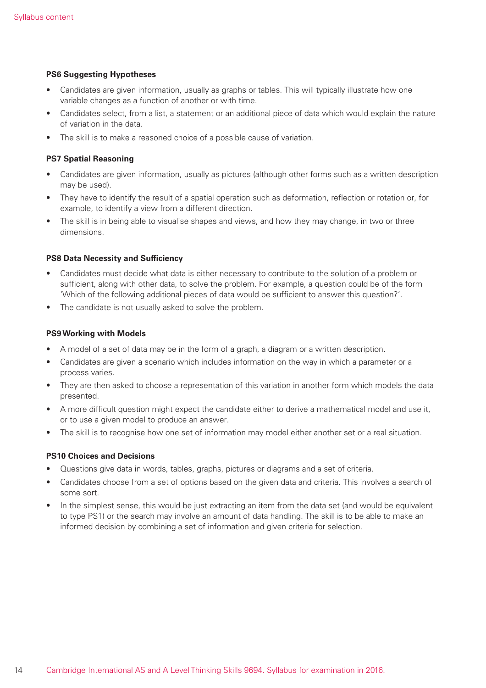#### **PS6 Suggesting Hypotheses**

- Candidates are given information, usually as graphs or tables. This will typically illustrate how one variable changes as a function of another or with time.
- Candidates select, from a list, a statement or an additional piece of data which would explain the nature of variation in the data.
- The skill is to make a reasoned choice of a possible cause of variation.

#### **PS7 Spatial Reasoning**

- Candidates are given information, usually as pictures (although other forms such as a written description may be used).
- They have to identify the result of a spatial operation such as deformation, reflection or rotation or, for example, to identify a view from a different direction.
- The skill is in being able to visualise shapes and views, and how they may change, in two or three dimensions.

#### **PS8 Data Necessity and Sufficiency**

- Candidates must decide what data is either necessary to contribute to the solution of a problem or sufficient, along with other data, to solve the problem. For example, a question could be of the form 'Which of the following additional pieces of data would be sufficient to answer this question?'.
- The candidate is not usually asked to solve the problem.

#### **PS9 Working with Models**

- A model of a set of data may be in the form of a graph, a diagram or a written description.
- Candidates are given a scenario which includes information on the way in which a parameter or a process varies.
- They are then asked to choose a representation of this variation in another form which models the data presented.
- A more difficult question might expect the candidate either to derive a mathematical model and use it, or to use a given model to produce an answer.
- The skill is to recognise how one set of information may model either another set or a real situation.

#### **PS10 Choices and Decisions**

- Questions give data in words, tables, graphs, pictures or diagrams and a set of criteria.
- Candidates choose from a set of options based on the given data and criteria. This involves a search of some sort.
- In the simplest sense, this would be just extracting an item from the data set (and would be equivalent to type PS1) or the search may involve an amount of data handling. The skill is to be able to make an informed decision by combining a set of information and given criteria for selection.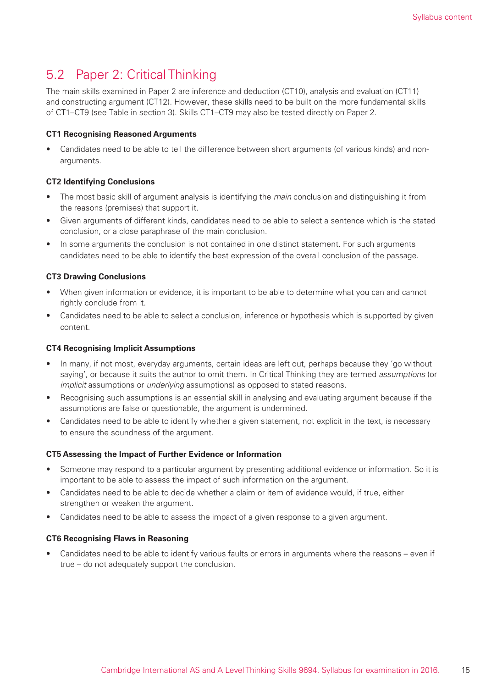# 5.2 Paper 2: Critical Thinking

The main skills examined in Paper 2 are inference and deduction (CT10), analysis and evaluation (CT11) and constructing argument (CT12). However, these skills need to be built on the more fundamental skills of CT1–CT9 (see Table in section 3). Skills CT1–CT9 may also be tested directly on Paper 2.

#### **CT1 Recognising Reasoned Arguments**

• Candidates need to be able to tell the difference between short arguments (of various kinds) and nonarguments.

#### **CT2 Identifying Conclusions**

- The most basic skill of argument analysis is identifying the *main* conclusion and distinguishing it from the reasons (premises) that support it.
- Given arguments of different kinds, candidates need to be able to select a sentence which is the stated conclusion, or a close paraphrase of the main conclusion.
- In some arguments the conclusion is not contained in one distinct statement. For such arguments candidates need to be able to identify the best expression of the overall conclusion of the passage.

#### **CT3 Drawing Conclusions**

- When given information or evidence, it is important to be able to determine what you can and cannot rightly conclude from it.
- Candidates need to be able to select a conclusion, inference or hypothesis which is supported by given content.

#### **CT4 Recognising Implicit Assumptions**

- In many, if not most, everyday arguments, certain ideas are left out, perhaps because they 'go without saying', or because it suits the author to omit them. In Critical Thinking they are termed *assumptions* (or *implicit* assumptions or *underlying* assumptions) as opposed to stated reasons.
- Recognising such assumptions is an essential skill in analysing and evaluating argument because if the assumptions are false or questionable, the argument is undermined.
- Candidates need to be able to identify whether a given statement, not explicit in the text, is necessary to ensure the soundness of the argument.

#### **CT5 Assessing the Impact of Further Evidence or Information**

- Someone may respond to a particular argument by presenting additional evidence or information. So it is important to be able to assess the impact of such information on the argument.
- Candidates need to be able to decide whether a claim or item of evidence would, if true, either strengthen or weaken the argument.
- Candidates need to be able to assess the impact of a given response to a given argument.

#### **CT6 Recognising Flaws in Reasoning**

• Candidates need to be able to identify various faults or errors in arguments where the reasons – even if true – do not adequately support the conclusion.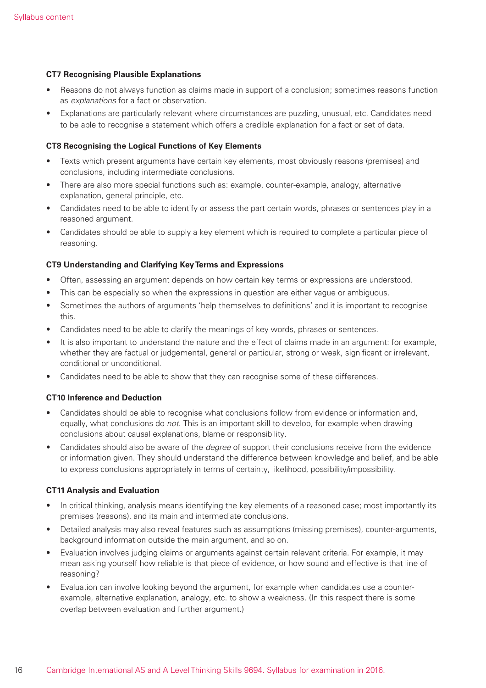#### **CT7 Recognising Plausible Explanations**

- Reasons do not always function as claims made in support of a conclusion; sometimes reasons function as *explanations* for a fact or observation.
- Explanations are particularly relevant where circumstances are puzzling, unusual, etc. Candidates need to be able to recognise a statement which offers a credible explanation for a fact or set of data.

#### **CT8 Recognising the Logical Functions of Key Elements**

- Texts which present arguments have certain key elements, most obviously reasons (premises) and conclusions, including intermediate conclusions.
- There are also more special functions such as: example, counter-example, analogy, alternative explanation, general principle, etc.
- Candidates need to be able to identify or assess the part certain words, phrases or sentences play in a reasoned argument.
- Candidates should be able to supply a key element which is required to complete a particular piece of reasoning.

#### **CT9 Understanding and Clarifying Key Terms and Expressions**

- Often, assessing an argument depends on how certain key terms or expressions are understood.
- This can be especially so when the expressions in question are either vague or ambiguous.
- Sometimes the authors of arguments 'help themselves to definitions' and it is important to recognise this.
- Candidates need to be able to clarify the meanings of key words, phrases or sentences.
- It is also important to understand the nature and the effect of claims made in an argument: for example, whether they are factual or judgemental, general or particular, strong or weak, significant or irrelevant, conditional or unconditional.
- Candidates need to be able to show that they can recognise some of these differences.

#### **CT10 Inference and Deduction**

- Candidates should be able to recognise what conclusions follow from evidence or information and, equally, what conclusions do *not*. This is an important skill to develop, for example when drawing conclusions about causal explanations, blame or responsibility.
- Candidates should also be aware of the *degree* of support their conclusions receive from the evidence or information given. They should understand the difference between knowledge and belief, and be able to express conclusions appropriately in terms of certainty, likelihood, possibility/impossibility.

#### **CT11 Analysis and Evaluation**

- In critical thinking, analysis means identifying the key elements of a reasoned case; most importantly its premises (reasons), and its main and intermediate conclusions.
- Detailed analysis may also reveal features such as assumptions (missing premises), counter-arguments, background information outside the main argument, and so on.
- Evaluation involves judging claims or arguments against certain relevant criteria. For example, it may mean asking yourself how reliable is that piece of evidence, or how sound and effective is that line of reasoning?
- Evaluation can involve looking beyond the argument, for example when candidates use a counterexample, alternative explanation, analogy, etc. to show a weakness. (In this respect there is some overlap between evaluation and further argument.)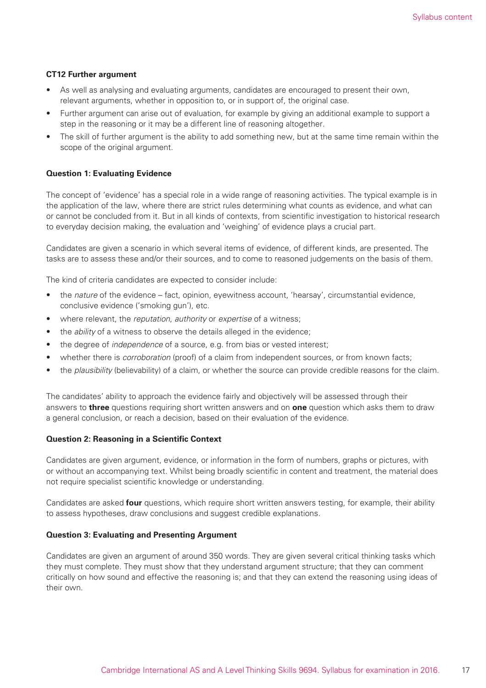#### **CT12 Further argument**

- As well as analysing and evaluating arguments, candidates are encouraged to present their own, relevant arguments, whether in opposition to, or in support of, the original case.
- Further argument can arise out of evaluation, for example by giving an additional example to support a step in the reasoning or it may be a different line of reasoning altogether.
- The skill of further argument is the ability to add something new, but at the same time remain within the scope of the original argument.

#### **Question 1: Evaluating Evidence**

The concept of 'evidence' has a special role in a wide range of reasoning activities. The typical example is in the application of the law, where there are strict rules determining what counts as evidence, and what can or cannot be concluded from it. But in all kinds of contexts, from scientific investigation to historical research to everyday decision making, the evaluation and 'weighing' of evidence plays a crucial part.

Candidates are given a scenario in which several items of evidence, of different kinds, are presented. The tasks are to assess these and/or their sources, and to come to reasoned judgements on the basis of them.

The kind of criteria candidates are expected to consider include:

- the *nature* of the evidence fact, opinion, eyewitness account, 'hearsay', circumstantial evidence, conclusive evidence ('smoking gun'), etc.
- where relevant, the *reputation*, *authority* or *expertise* of a witness;
- the *ability* of a witness to observe the details alleged in the evidence;
- the degree of *independence* of a source, e.g. from bias or vested interest;
- whether there is *corroboration* (proof) of a claim from independent sources, or from known facts;
- the *plausibility* (believability) of a claim, or whether the source can provide credible reasons for the claim.

The candidates' ability to approach the evidence fairly and objectively will be assessed through their answers to **three** questions requiring short written answers and on **one** question which asks them to draw a general conclusion, or reach a decision, based on their evaluation of the evidence.

#### **Question 2: Reasoning in a Scientific Context**

Candidates are given argument, evidence, or information in the form of numbers, graphs or pictures, with or without an accompanying text. Whilst being broadly scientific in content and treatment, the material does not require specialist scientific knowledge or understanding.

Candidates are asked **four** questions, which require short written answers testing, for example, their ability to assess hypotheses, draw conclusions and suggest credible explanations.

#### **Question 3: Evaluating and Presenting Argument**

Candidates are given an argument of around 350 words. They are given several critical thinking tasks which they must complete. They must show that they understand argument structure; that they can comment critically on how sound and effective the reasoning is; and that they can extend the reasoning using ideas of their own.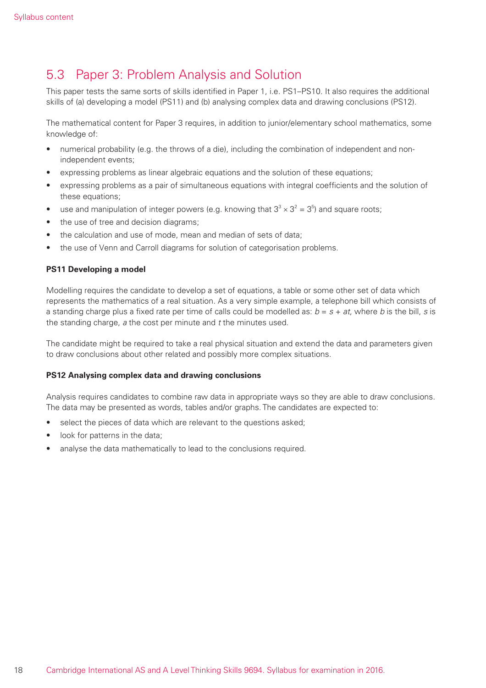## 5.3 Paper 3: Problem Analysis and Solution

This paper tests the same sorts of skills identified in Paper 1, i.e. PS1–PS10. It also requires the additional skills of (a) developing a model (PS11) and (b) analysing complex data and drawing conclusions (PS12).

The mathematical content for Paper 3 requires, in addition to junior/elementary school mathematics, some knowledge of:

- numerical probability (e.g. the throws of a die), including the combination of independent and nonindependent events;
- expressing problems as linear algebraic equations and the solution of these equations;
- expressing problems as a pair of simultaneous equations with integral coefficients and the solution of these equations;
- use and manipulation of integer powers (e.g. knowing that  $3^3 \times 3^2 = 3^5$ ) and square roots;
- the use of tree and decision diagrams:
- the calculation and use of mode, mean and median of sets of data;
- the use of Venn and Carroll diagrams for solution of categorisation problems.

#### **PS11 Developing a model**

Modelling requires the candidate to develop a set of equations, a table or some other set of data which represents the mathematics of a real situation. As a very simple example, a telephone bill which consists of a standing charge plus a fixed rate per time of calls could be modelled as: *b* = *s* + *at*, where *b* is the bill, *s* is the standing charge, *a* the cost per minute and *t* the minutes used.

The candidate might be required to take a real physical situation and extend the data and parameters given to draw conclusions about other related and possibly more complex situations.

#### **PS12 Analysing complex data and drawing conclusions**

Analysis requires candidates to combine raw data in appropriate ways so they are able to draw conclusions. The data may be presented as words, tables and/or graphs. The candidates are expected to:

- select the pieces of data which are relevant to the questions asked;
- look for patterns in the data;
- analyse the data mathematically to lead to the conclusions required.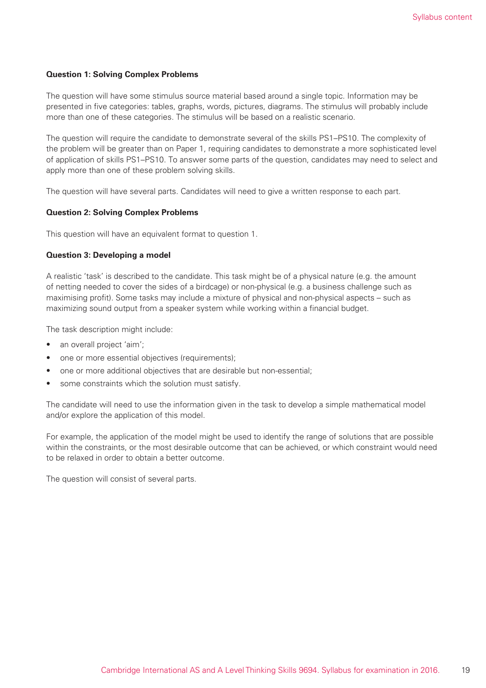#### **Question 1: Solving Complex Problems**

The question will have some stimulus source material based around a single topic. Information may be presented in five categories: tables, graphs, words, pictures, diagrams. The stimulus will probably include more than one of these categories. The stimulus will be based on a realistic scenario.

The question will require the candidate to demonstrate several of the skills PS1–PS10. The complexity of the problem will be greater than on Paper 1, requiring candidates to demonstrate a more sophisticated level of application of skills PS1–PS10. To answer some parts of the question, candidates may need to select and apply more than one of these problem solving skills.

The question will have several parts. Candidates will need to give a written response to each part.

#### **Question 2: Solving Complex Problems**

This question will have an equivalent format to question 1.

#### **Question 3: Developing a model**

A realistic 'task' is described to the candidate. This task might be of a physical nature (e.g. the amount of netting needed to cover the sides of a birdcage) or non-physical (e.g. a business challenge such as maximising profit). Some tasks may include a mixture of physical and non-physical aspects – such as maximizing sound output from a speaker system while working within a financial budget.

The task description might include:

- an overall project 'aim';
- one or more essential objectives (requirements);
- one or more additional objectives that are desirable but non-essential;
- some constraints which the solution must satisfy.

The candidate will need to use the information given in the task to develop a simple mathematical model and/or explore the application of this model.

For example, the application of the model might be used to identify the range of solutions that are possible within the constraints, or the most desirable outcome that can be achieved, or which constraint would need to be relaxed in order to obtain a better outcome.

The question will consist of several parts.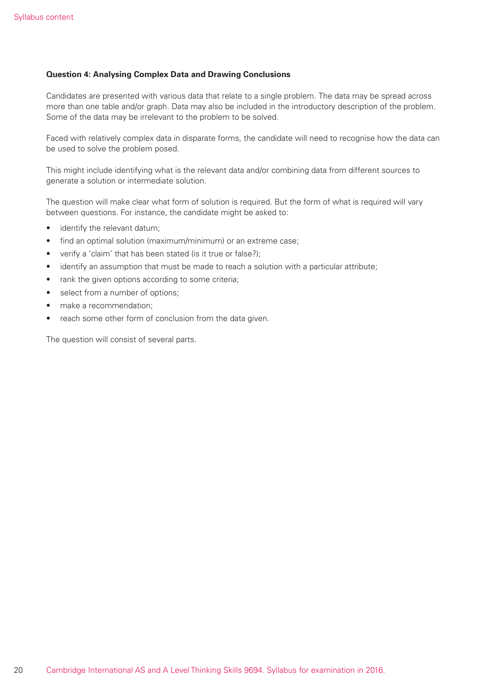#### **Question 4: Analysing Complex Data and Drawing Conclusions**

Candidates are presented with various data that relate to a single problem. The data may be spread across more than one table and/or graph. Data may also be included in the introductory description of the problem. Some of the data may be irrelevant to the problem to be solved.

Faced with relatively complex data in disparate forms, the candidate will need to recognise how the data can be used to solve the problem posed.

This might include identifying what is the relevant data and/or combining data from different sources to generate a solution or intermediate solution.

The question will make clear what form of solution is required. But the form of what is required will vary between questions. For instance, the candidate might be asked to:

- identify the relevant datum;
- find an optimal solution (maximum/minimum) or an extreme case;
- verify a 'claim' that has been stated (is it true or false?);
- identify an assumption that must be made to reach a solution with a particular attribute;
- rank the given options according to some criteria;
- select from a number of options;
- make a recommendation:
- reach some other form of conclusion from the data given.

The question will consist of several parts.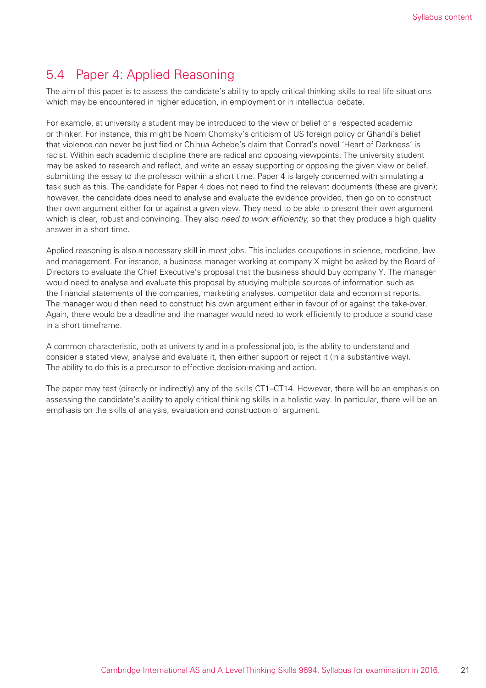## 5.4 Paper 4: Applied Reasoning

The aim of this paper is to assess the candidate's ability to apply critical thinking skills to real life situations which may be encountered in higher education, in employment or in intellectual debate.

For example, at university a student may be introduced to the view or belief of a respected academic or thinker. For instance, this might be Noam Chomsky's criticism of US foreign policy or Ghandi's belief that violence can never be justified or Chinua Achebe's claim that Conrad's novel 'Heart of Darkness' is racist. Within each academic discipline there are radical and opposing viewpoints. The university student may be asked to research and reflect, and write an essay supporting or opposing the given view or belief, submitting the essay to the professor within a short time. Paper 4 is largely concerned with simulating a task such as this. The candidate for Paper 4 does not need to find the relevant documents (these are given); however, the candidate does need to analyse and evaluate the evidence provided, then go on to construct their own argument either for or against a given view. They need to be able to present their own argument which is clear, robust and convincing. They also *need to work efficiently*, so that they produce a high quality answer in a short time.

Applied reasoning is also a necessary skill in most jobs. This includes occupations in science, medicine, law and management. For instance, a business manager working at company X might be asked by the Board of Directors to evaluate the Chief Executive's proposal that the business should buy company Y. The manager would need to analyse and evaluate this proposal by studying multiple sources of information such as the financial statements of the companies, marketing analyses, competitor data and economist reports. The manager would then need to construct his own argument either in favour of or against the take-over. Again, there would be a deadline and the manager would need to work efficiently to produce a sound case in a short timeframe.

A common characteristic, both at university and in a professional job, is the ability to understand and consider a stated view, analyse and evaluate it, then either support or reject it (in a substantive way). The ability to do this is a precursor to effective decision-making and action.

The paper may test (directly or indirectly) any of the skills CT1–CT14. However, there will be an emphasis on assessing the candidate's ability to apply critical thinking skills in a holistic way. In particular, there will be an emphasis on the skills of analysis, evaluation and construction of argument.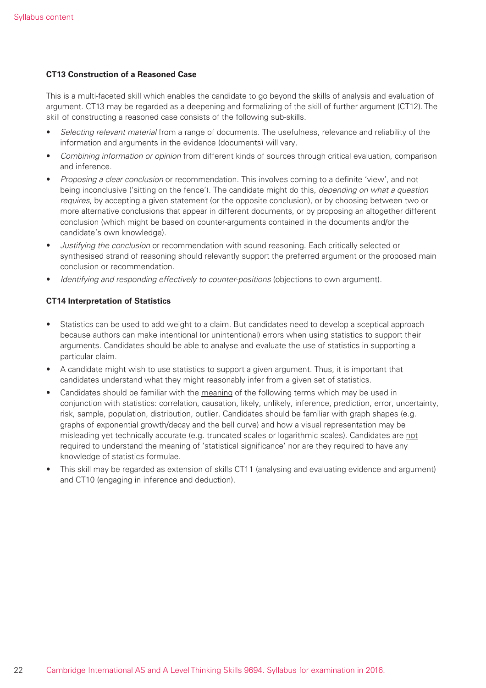#### **CT13 Construction of a Reasoned Case**

This is a multi-faceted skill which enables the candidate to go beyond the skills of analysis and evaluation of argument. CT13 may be regarded as a deepening and formalizing of the skill of further argument (CT12). The skill of constructing a reasoned case consists of the following sub-skills.

- *Selecting relevant material* from a range of documents. The usefulness, relevance and reliability of the information and arguments in the evidence (documents) will vary.
- *Combining information or opinion* from different kinds of sources through critical evaluation, comparison and inference.
- *Proposing a clear conclusion* or recommendation. This involves coming to a definite 'view', and not being inconclusive ('sitting on the fence'). The candidate might do this, *depending on what a question requires*, by accepting a given statement (or the opposite conclusion), or by choosing between two or more alternative conclusions that appear in different documents, or by proposing an altogether different conclusion (which might be based on counter-arguments contained in the documents and/or the candidate's own knowledge).
- *Justifying the conclusion* or recommendation with sound reasoning. Each critically selected or synthesised strand of reasoning should relevantly support the preferred argument or the proposed main conclusion or recommendation.
- *Identifying and responding effectively to counter-positions* (objections to own argument).

#### **CT14 Interpretation of Statistics**

- Statistics can be used to add weight to a claim. But candidates need to develop a sceptical approach because authors can make intentional (or unintentional) errors when using statistics to support their arguments. Candidates should be able to analyse and evaluate the use of statistics in supporting a particular claim.
- A candidate might wish to use statistics to support a given argument. Thus, it is important that candidates understand what they might reasonably infer from a given set of statistics.
- Candidates should be familiar with the meaning of the following terms which may be used in conjunction with statistics: correlation, causation, likely, unlikely, inference, prediction, error, uncertainty, risk, sample, population, distribution, outlier. Candidates should be familiar with graph shapes (e.g. graphs of exponential growth/decay and the bell curve) and how a visual representation may be misleading yet technically accurate (e.g. truncated scales or logarithmic scales). Candidates are not required to understand the meaning of 'statistical significance' nor are they required to have any knowledge of statistics formulae.
- This skill may be regarded as extension of skills CT11 (analysing and evaluating evidence and argument) and CT10 (engaging in inference and deduction).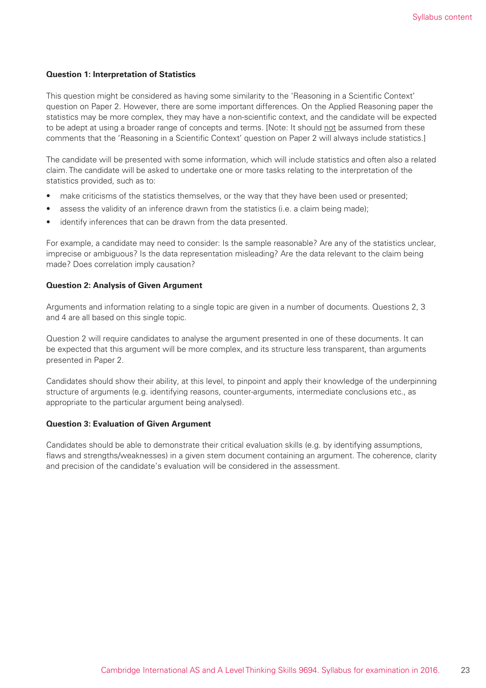#### **Question 1: Interpretation of Statistics**

This question might be considered as having some similarity to the 'Reasoning in a Scientific Context' question on Paper 2. However, there are some important differences. On the Applied Reasoning paper the statistics may be more complex, they may have a non-scientific context, and the candidate will be expected to be adept at using a broader range of concepts and terms. [Note: It should not be assumed from these comments that the 'Reasoning in a Scientific Context' question on Paper 2 will always include statistics.]

The candidate will be presented with some information, which will include statistics and often also a related claim. The candidate will be asked to undertake one or more tasks relating to the interpretation of the statistics provided, such as to:

- make criticisms of the statistics themselves, or the way that they have been used or presented;
- assess the validity of an inference drawn from the statistics (i.e. a claim being made);
- identify inferences that can be drawn from the data presented.

For example, a candidate may need to consider: Is the sample reasonable? Are any of the statistics unclear, imprecise or ambiguous? Is the data representation misleading? Are the data relevant to the claim being made? Does correlation imply causation?

#### **Question 2: Analysis of Given Argument**

Arguments and information relating to a single topic are given in a number of documents. Questions 2, 3 and 4 are all based on this single topic.

Question 2 will require candidates to analyse the argument presented in one of these documents. It can be expected that this argument will be more complex, and its structure less transparent, than arguments presented in Paper 2.

Candidates should show their ability, at this level, to pinpoint and apply their knowledge of the underpinning structure of arguments (e.g. identifying reasons, counter-arguments, intermediate conclusions etc., as appropriate to the particular argument being analysed).

#### **Question 3: Evaluation of Given Argument**

Candidates should be able to demonstrate their critical evaluation skills (e.g. by identifying assumptions, flaws and strengths/weaknesses) in a given stem document containing an argument. The coherence, clarity and precision of the candidate's evaluation will be considered in the assessment.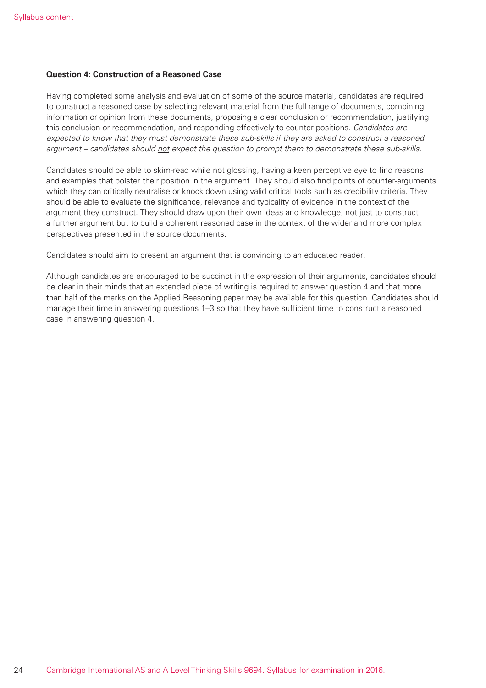#### **Question 4: Construction of a Reasoned Case**

Having completed some analysis and evaluation of some of the source material, candidates are required to construct a reasoned case by selecting relevant material from the full range of documents, combining information or opinion from these documents, proposing a clear conclusion or recommendation, justifying this conclusion or recommendation, and responding effectively to counter-positions. *Candidates are expected to know that they must demonstrate these sub-skills if they are asked to construct a reasoned argument – candidates should not expect the question to prompt them to demonstrate these sub-skills.* 

Candidates should be able to skim-read while not glossing, having a keen perceptive eye to find reasons and examples that bolster their position in the argument. They should also find points of counter-arguments which they can critically neutralise or knock down using valid critical tools such as credibility criteria. They should be able to evaluate the significance, relevance and typicality of evidence in the context of the argument they construct. They should draw upon their own ideas and knowledge, not just to construct a further argument but to build a coherent reasoned case in the context of the wider and more complex perspectives presented in the source documents.

Candidates should aim to present an argument that is convincing to an educated reader.

Although candidates are encouraged to be succinct in the expression of their arguments, candidates should be clear in their minds that an extended piece of writing is required to answer question 4 and that more than half of the marks on the Applied Reasoning paper may be available for this question. Candidates should manage their time in answering questions 1–3 so that they have sufficient time to construct a reasoned case in answering question 4.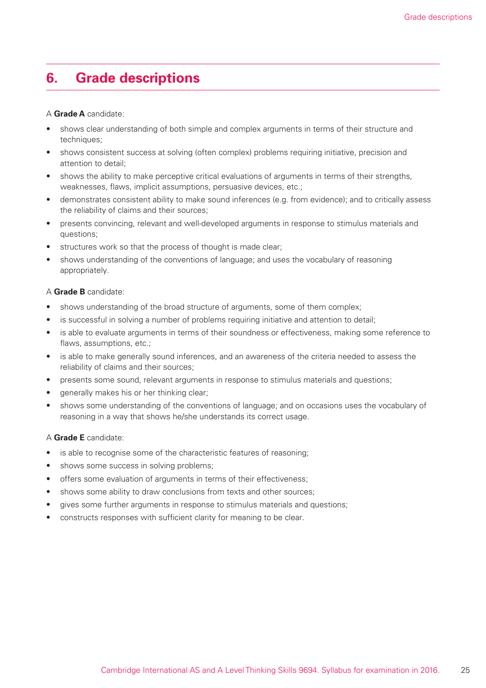# **6. Grade descriptions**

#### A **Grade A** candidate:

- shows clear understanding of both simple and complex arguments in terms of their structure and techniques;
- shows consistent success at solving (often complex) problems requiring initiative, precision and attention to detail;
- shows the ability to make perceptive critical evaluations of arguments in terms of their strengths, weaknesses, flaws, implicit assumptions, persuasive devices, etc.;
- demonstrates consistent ability to make sound inferences (e.g. from evidence); and to critically assess the reliability of claims and their sources;
- presents convincing, relevant and well-developed arguments in response to stimulus materials and questions;
- structures work so that the process of thought is made clear;
- shows understanding of the conventions of language; and uses the vocabulary of reasoning appropriately.

#### A **Grade B** candidate:

- shows understanding of the broad structure of arguments, some of them complex;
- is successful in solving a number of problems requiring initiative and attention to detail;
- is able to evaluate arguments in terms of their soundness or effectiveness, making some reference to flaws, assumptions, etc.;
- is able to make generally sound inferences, and an awareness of the criteria needed to assess the reliability of claims and their sources;
- presents some sound, relevant arguments in response to stimulus materials and questions;
- generally makes his or her thinking clear;
- shows some understanding of the conventions of language; and on occasions uses the vocabulary of reasoning in a way that shows he/she understands its correct usage.

#### A **Grade E** candidate:

- is able to recognise some of the characteristic features of reasoning;
- shows some success in solving problems;
- offers some evaluation of arguments in terms of their effectiveness;
- shows some ability to draw conclusions from texts and other sources;
- gives some further arguments in response to stimulus materials and questions;
- constructs responses with sufficient clarity for meaning to be clear.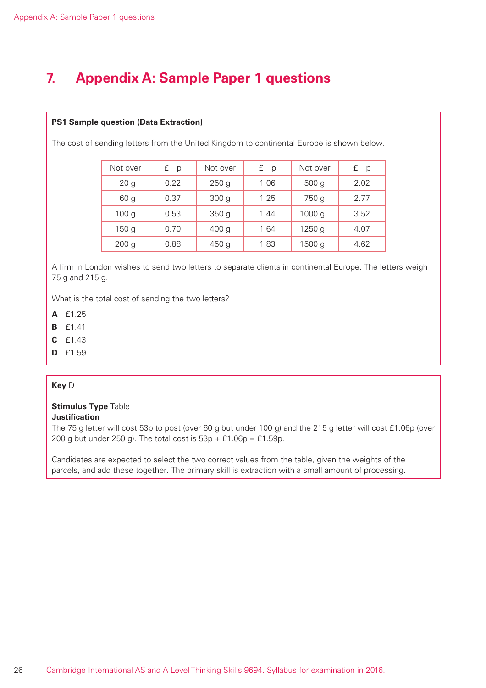# **7. Appendix A: Sample Paper 1 questions**

#### **PS1 Sample question (Data Extraction)**

The cost of sending letters from the United Kingdom to continental Europe is shown below.

| Not over         | f p  | Not over         | $f$ $p$ | Not over         | £.<br>p |
|------------------|------|------------------|---------|------------------|---------|
| 20 <sub>g</sub>  | 0.22 | 250 <sub>g</sub> | 1.06    | 500 <sub>g</sub> | 2.02    |
| 60 g             | 0.37 | 300 <sub>g</sub> | 1.25    | 750 g            | 2.77    |
| 100 <sub>g</sub> | 0.53 | 350 <sub>g</sub> | 1.44    | 1000 g           | 3.52    |
| 150 <sub>g</sub> | 0.70 | 400 <sub>g</sub> | 1.64    | 1250g            | 4.07    |
| 200 <sub>g</sub> | 0.88 | 450g             | 1.83    | 1500 g           | 4.62    |

A firm in London wishes to send two letters to separate clients in continental Europe. The letters weigh 75 g and 215 g.

What is the total cost of sending the two letters?

- **A** £1.25
- **B** £1.41
- **C** £1.43
- **D** £1.59

#### **Key** D

### **Stimulus Type** Table

#### **Justification**

The 75 g letter will cost 53p to post (over 60 g but under 100 g) and the 215 g letter will cost £1.06p (over 200 g but under 250 g). The total cost is  $53p + £1.06p = £1.59p$ .

Candidates are expected to select the two correct values from the table, given the weights of the parcels, and add these together. The primary skill is extraction with a small amount of processing.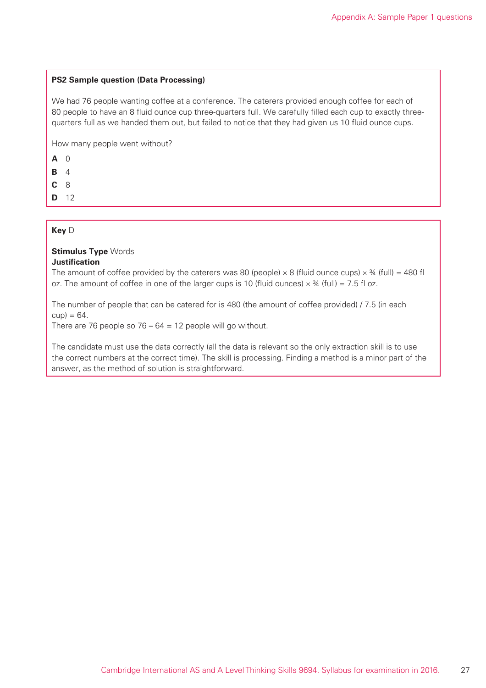#### **PS2 Sample question (Data Processing)**

We had 76 people wanting coffee at a conference. The caterers provided enough coffee for each of 80 people to have an 8 fluid ounce cup three-quarters full. We carefully filled each cup to exactly threequarters full as we handed them out, but failed to notice that they had given us 10 fluid ounce cups.

How many people went without?

- **A** 0
- **B** 4
- **C** 8
- **D** 12

#### **Key** D

#### **Stimulus Type** Words **Justification**

The amount of coffee provided by the caterers was 80 (people)  $\times$  8 (fluid ounce cups)  $\times$  34 (full) = 480 fl oz. The amount of coffee in one of the larger cups is 10 (fluid ounces)  $\times$  34 (full) = 7.5 fl oz.

The number of people that can be catered for is 480 (the amount of coffee provided) / 7.5 (in each  $cup) = 64.$ 

There are 76 people so  $76 - 64 = 12$  people will go without.

The candidate must use the data correctly (all the data is relevant so the only extraction skill is to use the correct numbers at the correct time). The skill is processing. Finding a method is a minor part of the answer, as the method of solution is straightforward.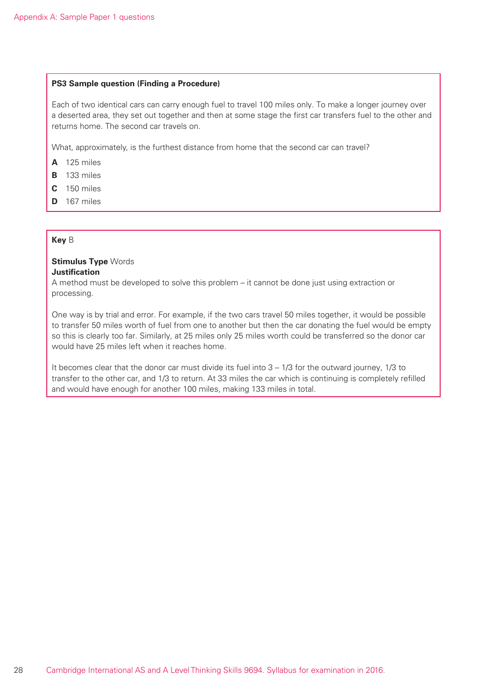#### **PS3 Sample question (Finding a Procedure)**

Each of two identical cars can carry enough fuel to travel 100 miles only. To make a longer journey over a deserted area, they set out together and then at some stage the first car transfers fuel to the other and returns home. The second car travels on.

What, approximately, is the furthest distance from home that the second car can travel?

- **A** 125 miles
- **B** 133 miles
- **C** 150 miles
- **D** 167 miles

#### **Key** B

#### **Stimulus Type** Words **Justification**

A method must be developed to solve this problem – it cannot be done just using extraction or processing.

One way is by trial and error. For example, if the two cars travel 50 miles together, it would be possible to transfer 50 miles worth of fuel from one to another but then the car donating the fuel would be empty so this is clearly too far. Similarly, at 25 miles only 25 miles worth could be transferred so the donor car would have 25 miles left when it reaches home.

It becomes clear that the donor car must divide its fuel into 3 – 1/3 for the outward journey, 1/3 to transfer to the other car, and 1/3 to return. At 33 miles the car which is continuing is completely refilled and would have enough for another 100 miles, making 133 miles in total.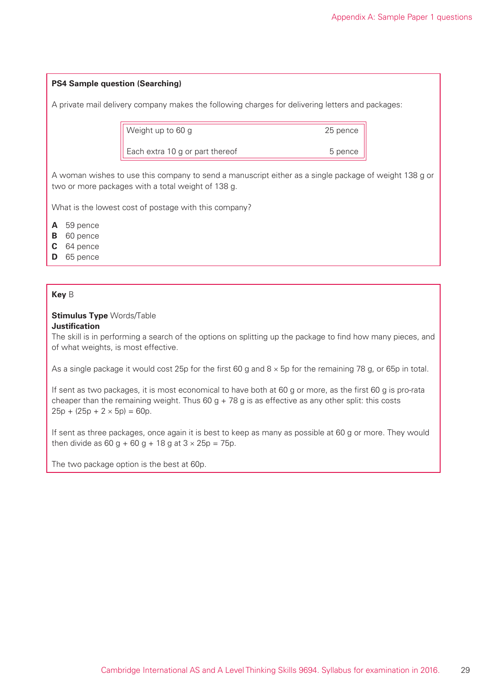#### **PS4 Sample question (Searching)**

A private mail delivery company makes the following charges for delivering letters and packages:

| $\parallel$ Weight up to 60 g               | 25 pence |
|---------------------------------------------|----------|
| $\parallel$ Each extra 10 g or part thereof | 5 pence  |

A woman wishes to use this company to send a manuscript either as a single package of weight 138 g or two or more packages with a total weight of 138 g.

What is the lowest cost of postage with this company?

- **A** 59 pence
- **B** 60 pence
- **C** 64 pence
- **D** 65 pence

#### **Key** B

#### **Stimulus Type** Words/Table **Justification**

The skill is in performing a search of the options on splitting up the package to find how many pieces, and of what weights, is most effective.

As a single package it would cost 25p for the first 60 g and  $8 \times 5p$  for the remaining 78 g, or 65p in total.

If sent as two packages, it is most economical to have both at 60 g or more, as the first 60 g is pro-rata cheaper than the remaining weight. Thus  $60 g + 78 g$  is as effective as any other split: this costs  $25p + (25p + 2 \times 5p) = 60p$ .

If sent as three packages, once again it is best to keep as many as possible at 60 g or more. They would then divide as  $60 g + 60 g + 18 g$  at  $3 \times 25p = 75p$ .

The two package option is the best at 60p.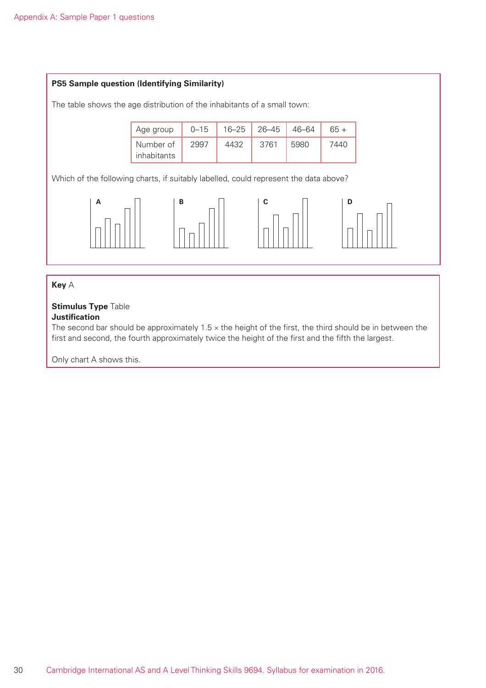#### **PS5 Sample question (Identifying Similarity)**

The table shows the age distribution of the inhabitants of a small town:

| Age group                | $0 - 15$ | 16–25 | 26–45 | 46–64 | 65 + |
|--------------------------|----------|-------|-------|-------|------|
| Number of<br>inhabitants | 2997     | 4432  | 3761  | 5980  | 7440 |

Which of the following charts, if suitably labelled, could represent the data above?



#### **Key** A

# **Stimulus Type** Table

**Justification**

The second bar should be approximately  $1.5 \times$  the height of the first, the third should be in between the first and second, the fourth approximately twice the height of the first and the fifth the largest.

Only chart A shows this.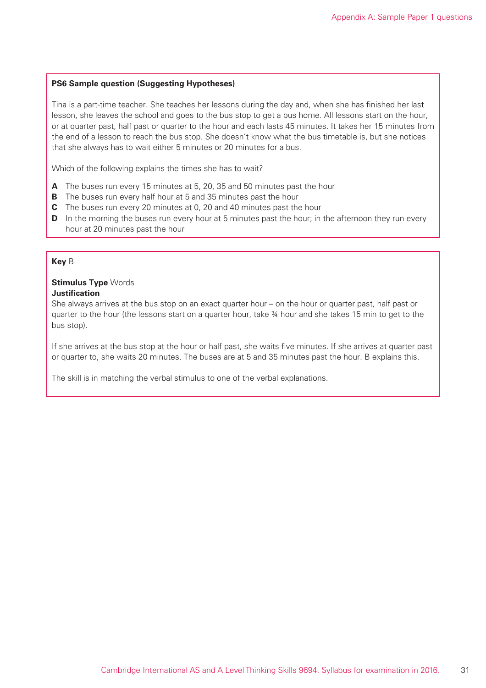#### **PS6 Sample question (Suggesting Hypotheses)**

Tina is a part-time teacher. She teaches her lessons during the day and, when she has finished her last lesson, she leaves the school and goes to the bus stop to get a bus home. All lessons start on the hour, or at quarter past, half past or quarter to the hour and each lasts 45 minutes. It takes her 15 minutes from the end of a lesson to reach the bus stop. She doesn't know what the bus timetable is, but she notices that she always has to wait either 5 minutes or 20 minutes for a bus.

Which of the following explains the times she has to wait?

- **A** The buses run every 15 minutes at 5, 20, 35 and 50 minutes past the hour
- **B** The buses run every half hour at 5 and 35 minutes past the hour
- **C** The buses run every 20 minutes at 0, 20 and 40 minutes past the hour
- **D** In the morning the buses run every hour at 5 minutes past the hour; in the afternoon they run every hour at 20 minutes past the hour

#### **Key** B

#### **Stimulus Type** Words **Justification**

She always arrives at the bus stop on an exact quarter hour – on the hour or quarter past, half past or quarter to the hour (the lessons start on a quarter hour, take ¾ hour and she takes 15 min to get to the bus stop).

If she arrives at the bus stop at the hour or half past, she waits five minutes. If she arrives at quarter past or quarter to, she waits 20 minutes. The buses are at 5 and 35 minutes past the hour. B explains this.

The skill is in matching the verbal stimulus to one of the verbal explanations.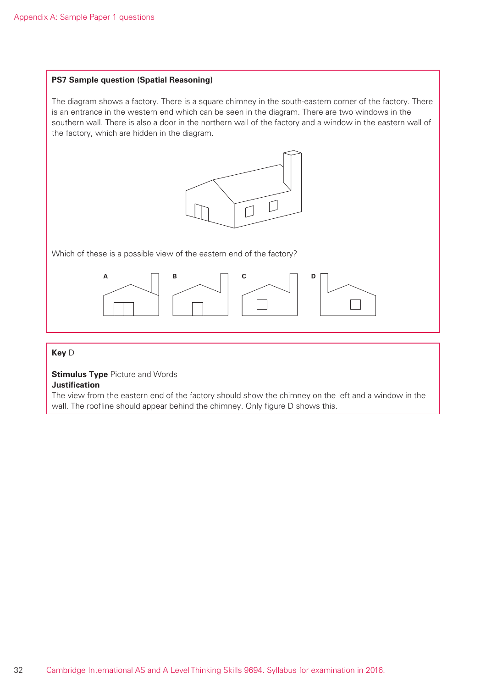#### **PS7 Sample question (Spatial Reasoning)**

The diagram shows a factory. There is a square chimney in the south-eastern corner of the factory. There is an entrance in the western end which can be seen in the diagram. There are two windows in the southern wall. There is also a door in the northern wall of the factory and a window in the eastern wall of the factory, which are hidden in the diagram.



Which of these is a possible view of the eastern end of the factory?



#### **Key** D

### **Stimulus Type** Picture and Words

#### **Justification**

The view from the eastern end of the factory should show the chimney on the left and a window in the wall. The roofline should appear behind the chimney. Only figure D shows this.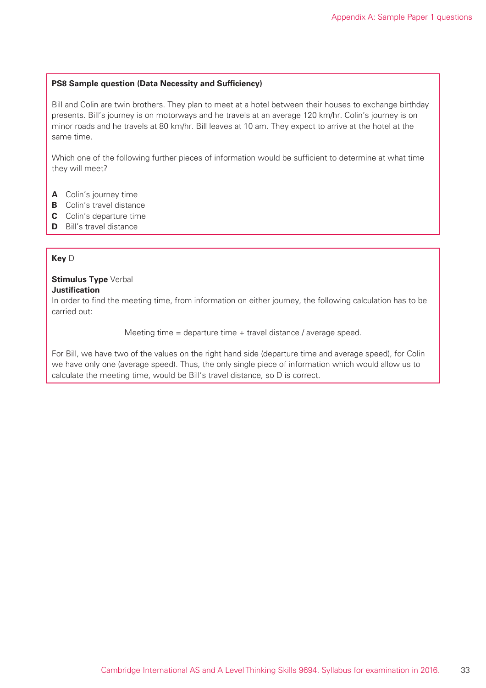#### **PS8 Sample question (Data Necessity and Sufficiency)**

Bill and Colin are twin brothers. They plan to meet at a hotel between their houses to exchange birthday presents. Bill's journey is on motorways and he travels at an average 120 km/hr. Colin's journey is on minor roads and he travels at 80 km/hr. Bill leaves at 10 am. They expect to arrive at the hotel at the same time.

Which one of the following further pieces of information would be sufficient to determine at what time they will meet?

- **A** Colin's journey time
- **B** Colin's travel distance
- **C** Colin's departure time
- **D** Bill's travel distance

#### **Key** D

#### **Stimulus Type** Verbal **Justification**

In order to find the meeting time, from information on either journey, the following calculation has to be carried out:

Meeting time = departure time + travel distance / average speed.

For Bill, we have two of the values on the right hand side (departure time and average speed), for Colin we have only one (average speed). Thus, the only single piece of information which would allow us to calculate the meeting time, would be Bill's travel distance, so D is correct.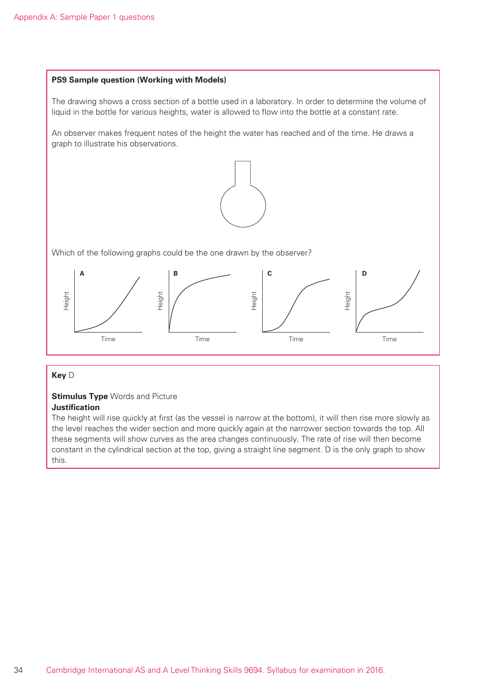#### **PS9 Sample question (Working with Models)**

The drawing shows a cross section of a bottle used in a laboratory. In order to determine the volume of liquid in the bottle for various heights, water is allowed to flow into the bottle at a constant rate.

An observer makes frequent notes of the height the water has reached and of the time. He draws a graph to illustrate his observations.



Which of the following graphs could be the one drawn by the observer?



#### **Key** D

#### **Stimulus Type** Words and Picture **Justification**

The height will rise quickly at first (as the vessel is narrow at the bottom), it will then rise more slowly as the level reaches the wider section and more quickly again at the narrower section towards the top. All these segments will show curves as the area changes continuously. The rate of rise will then become constant in the cylindrical section at the top, giving a straight line segment. D is the only graph to show this.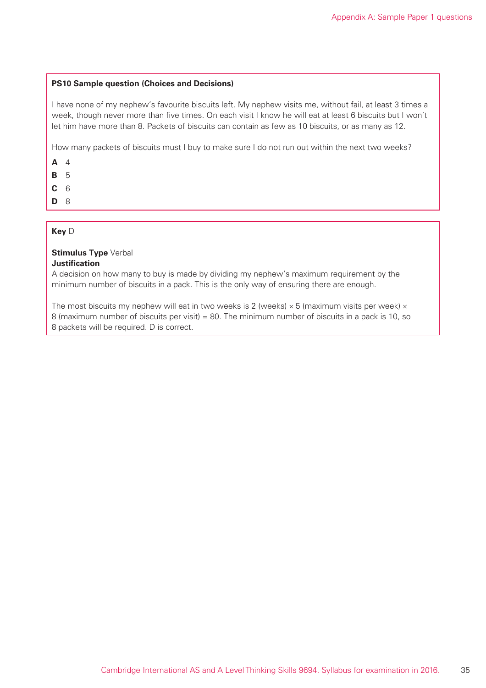#### **PS10 Sample question (Choices and Decisions)**

I have none of my nephew's favourite biscuits left. My nephew visits me, without fail, at least 3 times a week, though never more than five times. On each visit I know he will eat at least 6 biscuits but I won't let him have more than 8. Packets of biscuits can contain as few as 10 biscuits, or as many as 12.

How many packets of biscuits must I buy to make sure I do not run out within the next two weeks?

**A** 4

**B** 5

**C** 6

**D** 8

#### **Key** D

**Stimulus Type** Verbal **Justification**

A decision on how many to buy is made by dividing my nephew's maximum requirement by the minimum number of biscuits in a pack. This is the only way of ensuring there are enough.

The most biscuits my nephew will eat in two weeks is 2 (weeks)  $\times$  5 (maximum visits per week)  $\times$ 8 (maximum number of biscuits per visit) = 80. The minimum number of biscuits in a pack is 10, so 8 packets will be required. D is correct.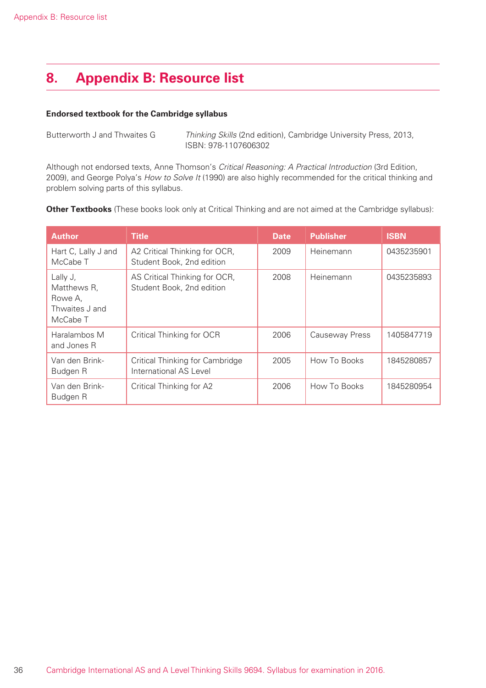# **8. Appendix B: Resource list**

#### **Endorsed textbook for the Cambridge syllabus**

Butterworth J and Thwaites G *Thinking Skills* (2nd edition), Cambridge University Press, 2013, ISBN: 978-1107606302

Although not endorsed texts, Anne Thomson's *Critical Reasoning: A Practical Introduction* (3rd Edition, 2009), and George Polya's *How to Solve It* (1990) are also highly recommended for the critical thinking and problem solving parts of this syllabus.

**Other Textbooks** (These books look only at Critical Thinking and are not aimed at the Cambridge syllabus):

| <b>Author</b>                                                    | <b>Title</b>                                               | <b>Date</b> | <b>Publisher</b> | <b>ISBN</b> |
|------------------------------------------------------------------|------------------------------------------------------------|-------------|------------------|-------------|
| Hart C, Lally J and<br>McCabe T                                  | A2 Critical Thinking for OCR,<br>Student Book, 2nd edition | 2009        | Heinemann        | 0435235901  |
| Lally J,<br>Matthews R,<br>Rowe A,<br>Thwaites J and<br>McCabe T | AS Critical Thinking for OCR,<br>Student Book, 2nd edition | 2008        | Heinemann        | 0435235893  |
| Haralambos M<br>and Jones R                                      | Critical Thinking for OCR                                  | 2006        | Causeway Press   | 1405847719  |
| Van den Brink-<br>Budgen R                                       | Critical Thinking for Cambridge<br>International AS Level  | 2005        | How To Books     | 1845280857  |
| Van den Brink-<br>Budgen R                                       | Critical Thinking for A2                                   | 2006        | How To Books     | 1845280954  |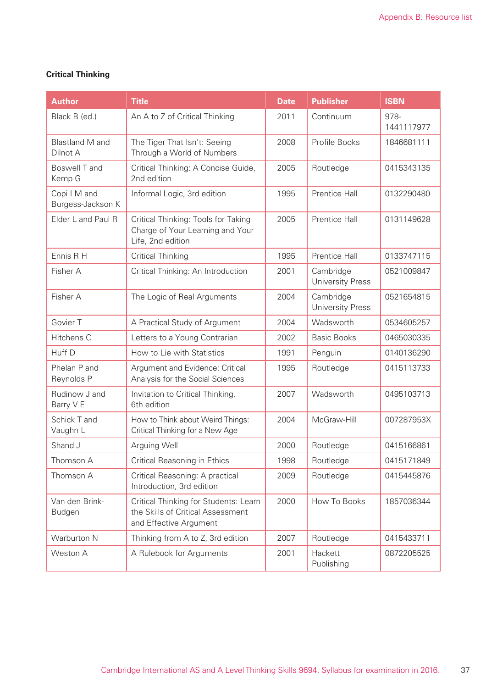| <b>Critical Thinking</b> |
|--------------------------|
|                          |

| <b>Author</b>                     | <b>Title</b>                                                                                         | <b>Date</b> | <b>Publisher</b>                     | <b>ISBN</b>        |
|-----------------------------------|------------------------------------------------------------------------------------------------------|-------------|--------------------------------------|--------------------|
| Black B (ed.)                     | An A to Z of Critical Thinking                                                                       | 2011        | Continuum                            | 978-<br>1441117977 |
| Blastland M and<br>Dilnot A       | The Tiger That Isn't: Seeing<br>Through a World of Numbers                                           | 2008        | Profile Books                        | 1846681111         |
| Boswell T and<br>Kemp G           | Critical Thinking: A Concise Guide,<br>2nd edition                                                   | 2005        | Routledge                            | 0415343135         |
| Copi I M and<br>Burgess-Jackson K | Informal Logic, 3rd edition                                                                          | 1995        | Prentice Hall                        | 0132290480         |
| Elder L and Paul R                | Critical Thinking: Tools for Taking<br>Charge of Your Learning and Your<br>Life, 2nd edition         | 2005        | Prentice Hall                        | 0131149628         |
| Ennis R H                         | <b>Critical Thinking</b>                                                                             | 1995        | Prentice Hall                        | 0133747115         |
| Fisher A                          | Critical Thinking: An Introduction                                                                   | 2001        | Cambridge<br><b>University Press</b> | 0521009847         |
| Fisher A                          | The Logic of Real Arguments                                                                          | 2004        | Cambridge<br><b>University Press</b> | 0521654815         |
| Govier T                          | A Practical Study of Argument                                                                        | 2004        | Wadsworth                            | 0534605257         |
| Hitchens C                        | Letters to a Young Contrarian                                                                        | 2002        | <b>Basic Books</b>                   | 0465030335         |
| Huff D                            | How to Lie with Statistics                                                                           | 1991        | Penguin                              | 0140136290         |
| Phelan P and<br>Reynolds P        | Argument and Evidence: Critical<br>Analysis for the Social Sciences                                  | 1995        | Routledge                            | 0415113733         |
| Rudinow J and<br>Barry V E        | Invitation to Critical Thinking,<br>6th edition                                                      | 2007        | Wadsworth                            | 0495103713         |
| Schick T and<br>Vaughn L          | How to Think about Weird Things:<br>Critical Thinking for a New Age                                  | 2004        | McGraw-Hill                          | 007287953X         |
| Shand J                           | Arguing Well                                                                                         | 2000        | Routledge                            | 0415166861         |
| Thomson A                         | Critical Reasoning in Ethics                                                                         | 1998        | Routledge                            | 0415171849         |
| Thomson A                         | Critical Reasoning: A practical<br>Introduction, 3rd edition                                         | 2009        | Routledge                            | 0415445876         |
| Van den Brink-<br><b>Budgen</b>   | Critical Thinking for Students: Learn<br>the Skills of Critical Assessment<br>and Effective Argument | 2000        | How To Books                         | 1857036344         |
| Warburton N                       | Thinking from A to Z, 3rd edition                                                                    | 2007        | Routledge                            | 0415433711         |
| Weston A                          | A Rulebook for Arguments                                                                             | 2001        | Hackett<br>Publishing                | 0872205525         |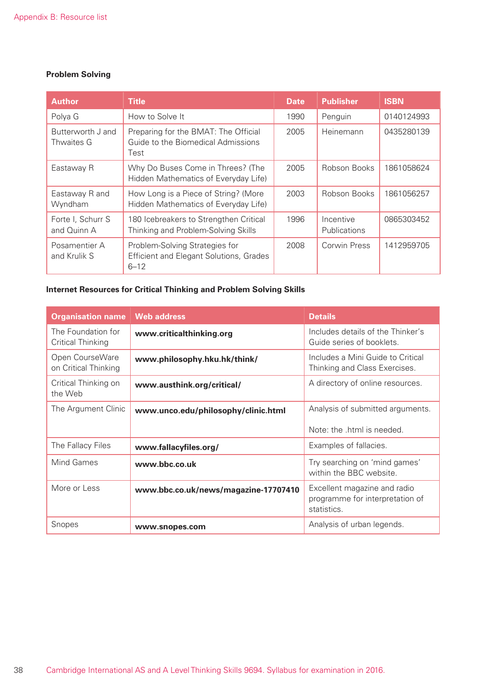### **Problem Solving**

| <b>Author</b>                    | <b>Title</b>                                                                          | <b>Date</b> | <b>Publisher</b>                 | <b>ISBN</b> |
|----------------------------------|---------------------------------------------------------------------------------------|-------------|----------------------------------|-------------|
| Polya G                          | How to Solve It                                                                       | 1990        | Penguin                          | 0140124993  |
| Butterworth J and<br>Thwaites G  | Preparing for the BMAT: The Official<br>Guide to the Biomedical Admissions<br>Test    | 2005        | Heinemann                        | 0435280139  |
| Eastaway R                       | Why Do Buses Come in Threes? (The<br>Hidden Mathematics of Everyday Life)             | 2005        | Robson Books                     | 1861058624  |
| Eastaway R and<br>Wyndham        | How Long is a Piece of String? (More<br>Hidden Mathematics of Everyday Life)          | 2003        | Robson Books                     | 1861056257  |
| Forte I, Schurr S<br>and Quinn A | 180 Icebreakers to Strengthen Critical<br>Thinking and Problem-Solving Skills         | 1996        | Incentive<br><b>Publications</b> | 0865303452  |
| Posamentier A<br>and Krulik S    | Problem-Solving Strategies for<br>Efficient and Elegant Solutions, Grades<br>$6 - 12$ | 2008        | Corwin Press                     | 1412959705  |

### **Internet Resources for Critical Thinking and Problem Solving Skills**

| <b>Organisation name</b>                | <b>Web address</b>                   | <b>Details</b>                                                                 |
|-----------------------------------------|--------------------------------------|--------------------------------------------------------------------------------|
| The Foundation for<br>Critical Thinking | www.criticalthinking.org             | Includes details of the Thinker's<br>Guide series of booklets.                 |
| Open CourseWare<br>on Critical Thinking | www.philosophy.hku.hk/think/         | Includes a Mini Guide to Critical<br>Thinking and Class Exercises.             |
| Critical Thinking on<br>the Web         | www.austhink.org/critical/           | A directory of online resources.                                               |
| The Argument Clinic                     | www.unco.edu/philosophy/clinic.html  | Analysis of submitted arguments.                                               |
|                                         |                                      | Note: the .html is needed.                                                     |
| The Fallacy Files                       | www.fallacyfiles.org/                | Examples of fallacies.                                                         |
| Mind Games                              | www.bbc.co.uk                        | Try searching on 'mind games'<br>within the BBC website.                       |
| More or Less                            | www.bbc.co.uk/news/magazine-17707410 | Excellent magazine and radio<br>programme for interpretation of<br>statistics. |
| Snopes                                  | www.snopes.com                       | Analysis of urban legends.                                                     |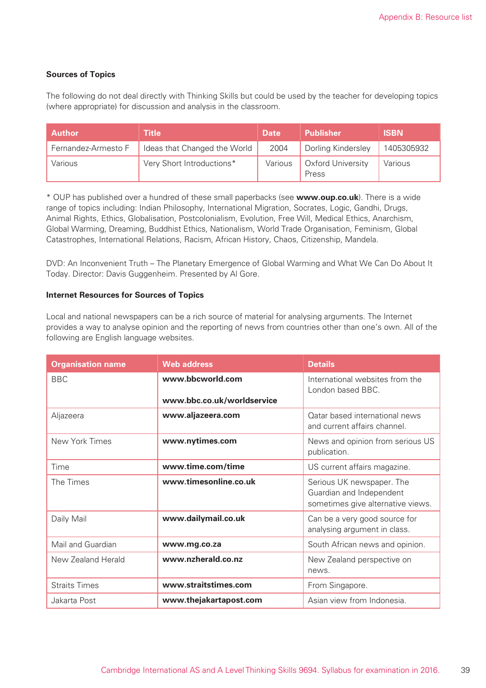#### **Sources of Topics**

The following do not deal directly with Thinking Skills but could be used by the teacher for developing topics (where appropriate) for discussion and analysis in the classroom.

| <b>Author</b>       | Title                        | <b>Date</b>    | <b>Publisher</b>           | <b>ISBN</b> |
|---------------------|------------------------------|----------------|----------------------------|-------------|
| Fernandez-Armesto F | Ideas that Changed the World | 2004           | Dorling Kindersley         | 1405305932  |
| Various             | Very Short Introductions*    | <b>Various</b> | Oxford University<br>Press | Various     |

\* OUP has published over a hundred of these small paperbacks (see **www.oup.co.uk**). There is a wide range of topics including: Indian Philosophy, International Migration, Socrates, Logic, Gandhi, Drugs, Animal Rights, Ethics, Globalisation, Postcolonialism, Evolution, Free Will, Medical Ethics, Anarchism, Global Warming, Dreaming, Buddhist Ethics, Nationalism, World Trade Organisation, Feminism, Global Catastrophes, International Relations, Racism, African History, Chaos, Citizenship, Mandela.

DVD: An Inconvenient Truth – The Planetary Emergence of Global Warming and What We Can Do About It Today. Director: Davis Guggenheim. Presented by Al Gore.

#### **Internet Resources for Sources of Topics**

Local and national newspapers can be a rich source of material for analysing arguments. The Internet provides a way to analyse opinion and the reporting of news from countries other than one's own. All of the following are English language websites.

| <b>Organisation name</b> | <b>Web address</b>         | <b>Details</b>                                                                             |
|--------------------------|----------------------------|--------------------------------------------------------------------------------------------|
| <b>BBC</b>               | www.bbcworld.com           | International websites from the<br>London based BBC.                                       |
|                          | www.bbc.co.uk/worldservice |                                                                                            |
| Aljazeera                | www.aljazeera.com          | Qatar based international news<br>and current affairs channel.                             |
| New York Times           | www.nytimes.com            | News and opinion from serious US<br>publication.                                           |
| Time                     | www.time.com/time          | US current affairs magazine.                                                               |
| The Times                | www.timesonline.co.uk      | Serious UK newspaper. The<br>Guardian and Independent<br>sometimes give alternative views. |
| Daily Mail               | www.dailymail.co.uk        | Can be a very good source for<br>analysing argument in class.                              |
| Mail and Guardian        | www.mg.co.za               | South African news and opinion.                                                            |
| New Zealand Herald       | www.nzherald.co.nz         | New Zealand perspective on<br>news.                                                        |
| <b>Straits Times</b>     | www.straitstimes.com       | From Singapore.                                                                            |
| Jakarta Post             | www.thejakartapost.com     | Asian view from Indonesia.                                                                 |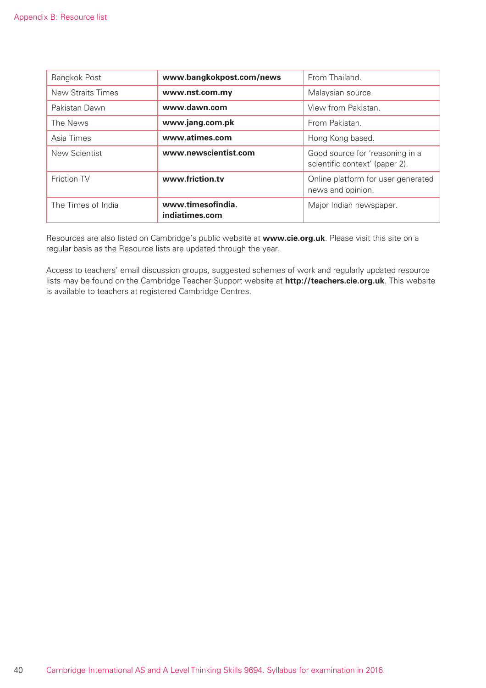| Bangkok Post             | www.bangkokpost.com/news            | From Thailand.                                                    |
|--------------------------|-------------------------------------|-------------------------------------------------------------------|
| <b>New Straits Times</b> | www.nst.com.my                      | Malaysian source.                                                 |
| Pakistan Dawn            | www.dawn.com                        | View from Pakistan.                                               |
| The News                 | www.jang.com.pk                     | From Pakistan.                                                    |
| Asia Times               | www.atimes.com                      | Hong Kong based.                                                  |
| New Scientist            | www.newscientist.com                | Good source for 'reasoning in a<br>scientific context' (paper 2). |
| Friction TV              | www.friction.tv                     | Online platform for user generated<br>news and opinion.           |
| The Times of India       | www.timesofindia.<br>indiatimes.com | Major Indian newspaper.                                           |

Resources are also listed on Cambridge's public website at **www.cie.org.uk**. Please visit this site on a regular basis as the Resource lists are updated through the year.

Access to teachers' email discussion groups, suggested schemes of work and regularly updated resource lists may be found on the Cambridge Teacher Support website at **http://teachers.cie.org.uk**. This website is available to teachers at registered Cambridge Centres.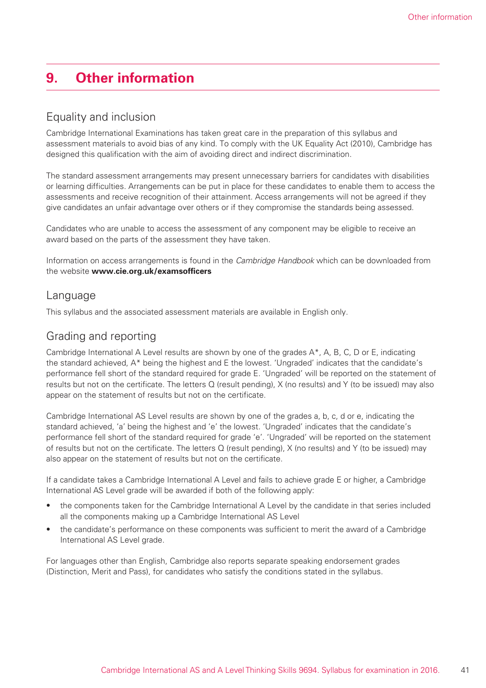# **9. Other information**

### Equality and inclusion

Cambridge International Examinations has taken great care in the preparation of this syllabus and assessment materials to avoid bias of any kind. To comply with the UK Equality Act (2010), Cambridge has designed this qualification with the aim of avoiding direct and indirect discrimination.

The standard assessment arrangements may present unnecessary barriers for candidates with disabilities or learning difficulties. Arrangements can be put in place for these candidates to enable them to access the assessments and receive recognition of their attainment. Access arrangements will not be agreed if they give candidates an unfair advantage over others or if they compromise the standards being assessed.

Candidates who are unable to access the assessment of any component may be eligible to receive an award based on the parts of the assessment they have taken.

Information on access arrangements is found in the *Cambridge Handbook* which can be downloaded from the website **www.cie.org.uk/examsofficers**

### Language

This syllabus and the associated assessment materials are available in English only.

### Grading and reporting

Cambridge International A Level results are shown by one of the grades A\*, A, B, C, D or E, indicating the standard achieved, A\* being the highest and E the lowest. 'Ungraded' indicates that the candidate's performance fell short of the standard required for grade E. 'Ungraded' will be reported on the statement of results but not on the certificate. The letters Q (result pending), X (no results) and Y (to be issued) may also appear on the statement of results but not on the certificate.

Cambridge International AS Level results are shown by one of the grades a, b, c, d or e, indicating the standard achieved, 'a' being the highest and 'e' the lowest. 'Ungraded' indicates that the candidate's performance fell short of the standard required for grade 'e'. 'Ungraded' will be reported on the statement of results but not on the certificate. The letters Q (result pending), X (no results) and Y (to be issued) may also appear on the statement of results but not on the certificate.

If a candidate takes a Cambridge International A Level and fails to achieve grade E or higher, a Cambridge International AS Level grade will be awarded if both of the following apply:

- the components taken for the Cambridge International A Level by the candidate in that series included all the components making up a Cambridge International AS Level
- the candidate's performance on these components was sufficient to merit the award of a Cambridge International AS Level grade.

For languages other than English, Cambridge also reports separate speaking endorsement grades (Distinction, Merit and Pass), for candidates who satisfy the conditions stated in the syllabus.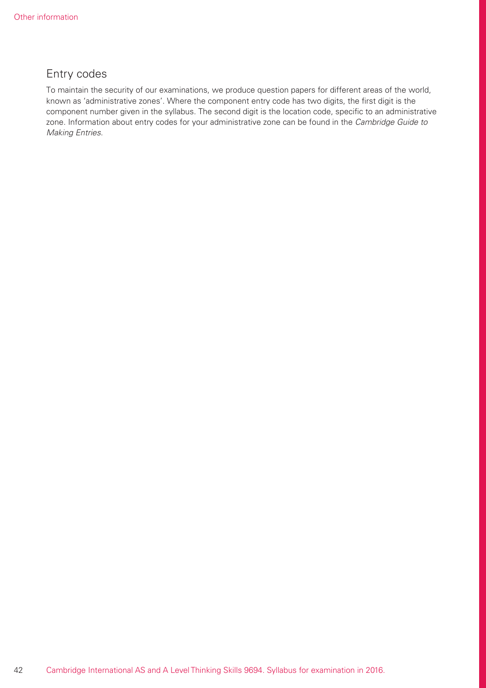### Entry codes

To maintain the security of our examinations, we produce question papers for different areas of the world, known as 'administrative zones'. Where the component entry code has two digits, the first digit is the component number given in the syllabus. The second digit is the location code, specific to an administrative zone. Information about entry codes for your administrative zone can be found in the *Cambridge Guide to Making Entries*.